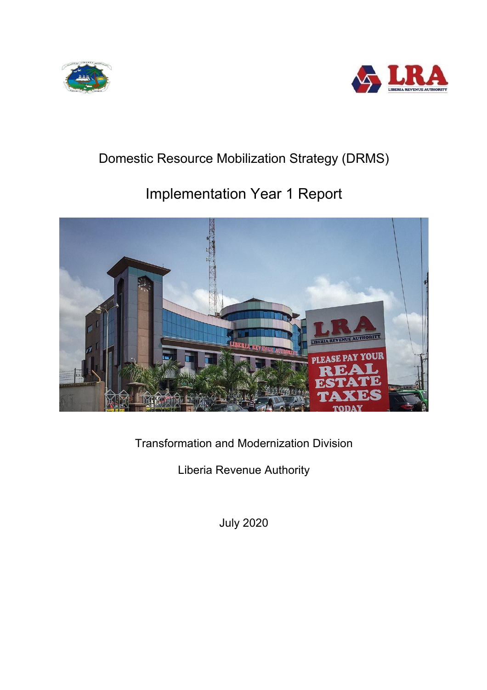



## Domestic Resource Mobilization Strategy (DRMS)

# Implementation Year 1 Report



Transformation and Modernization Division

Liberia Revenue Authority

July 2020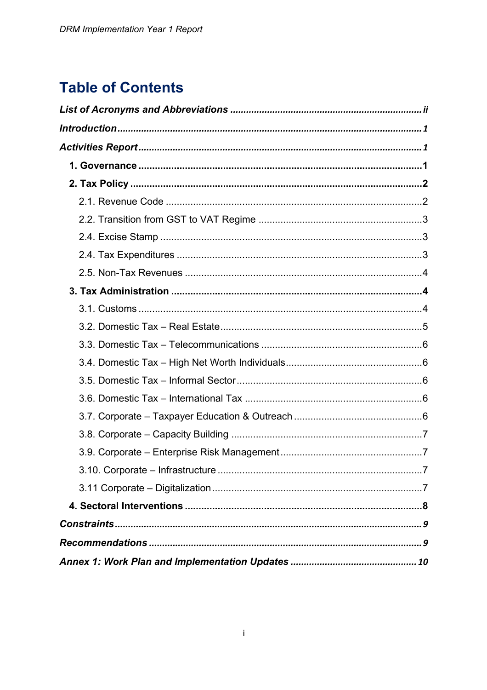## **Table of Contents**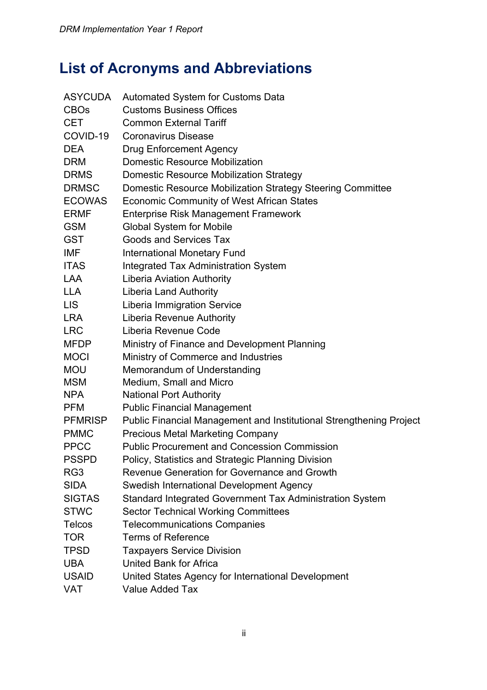# **List of Acronyms and Abbreviations**

| ASYCUDA        | <b>Automated System for Customs Data</b>                                   |
|----------------|----------------------------------------------------------------------------|
| <b>CBOs</b>    | <b>Customs Business Offices</b>                                            |
| <b>CET</b>     | <b>Common External Tariff</b>                                              |
| COVID-19       | <b>Coronavirus Disease</b>                                                 |
| <b>DEA</b>     | <b>Drug Enforcement Agency</b>                                             |
| <b>DRM</b>     | <b>Domestic Resource Mobilization</b>                                      |
| <b>DRMS</b>    | <b>Domestic Resource Mobilization Strategy</b>                             |
| <b>DRMSC</b>   | Domestic Resource Mobilization Strategy Steering Committee                 |
| <b>ECOWAS</b>  | <b>Economic Community of West African States</b>                           |
| <b>ERMF</b>    | <b>Enterprise Risk Management Framework</b>                                |
| <b>GSM</b>     | <b>Global System for Mobile</b>                                            |
| <b>GST</b>     | <b>Goods and Services Tax</b>                                              |
| <b>IMF</b>     | <b>International Monetary Fund</b>                                         |
| <b>ITAS</b>    | <b>Integrated Tax Administration System</b>                                |
| <b>LAA</b>     | <b>Liberia Aviation Authority</b>                                          |
| <b>LLA</b>     | <b>Liberia Land Authority</b>                                              |
| <b>LIS</b>     | <b>Liberia Immigration Service</b>                                         |
| <b>LRA</b>     | Liberia Revenue Authority                                                  |
| <b>LRC</b>     | Liberia Revenue Code                                                       |
| <b>MFDP</b>    | Ministry of Finance and Development Planning                               |
| <b>MOCI</b>    | Ministry of Commerce and Industries                                        |
| <b>MOU</b>     | Memorandum of Understanding                                                |
| <b>MSM</b>     | Medium, Small and Micro                                                    |
| <b>NPA</b>     | <b>National Port Authority</b>                                             |
| <b>PFM</b>     | <b>Public Financial Management</b>                                         |
| <b>PFMRISP</b> | <b>Public Financial Management and Institutional Strengthening Project</b> |
| <b>PMMC</b>    | <b>Precious Metal Marketing Company</b>                                    |
| <b>PPCC</b>    | <b>Public Procurement and Concession Commission</b>                        |
| <b>PSSPD</b>   | Policy, Statistics and Strategic Planning Division                         |
| RG3            | Revenue Generation for Governance and Growth                               |
| <b>SIDA</b>    | Swedish International Development Agency                                   |
| <b>SIGTAS</b>  | Standard Integrated Government Tax Administration System                   |
| <b>STWC</b>    | <b>Sector Technical Working Committees</b>                                 |
| <b>Telcos</b>  | <b>Telecommunications Companies</b>                                        |
| <b>TOR</b>     | <b>Terms of Reference</b>                                                  |
| <b>TPSD</b>    | <b>Taxpayers Service Division</b>                                          |
| <b>UBA</b>     | <b>United Bank for Africa</b>                                              |
| <b>USAID</b>   | United States Agency for International Development                         |
| VAT            | <b>Value Added Tax</b>                                                     |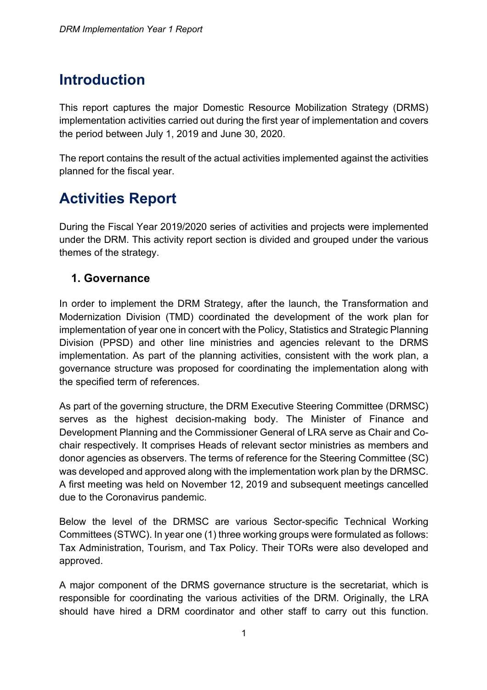## **Introduction**

This report captures the major Domestic Resource Mobilization Strategy (DRMS) implementation activities carried out during the first year of implementation and covers the period between July 1, 2019 and June 30, 2020.

The report contains the result of the actual activities implemented against the activities planned for the fiscal year.

# **Activities Report**

During the Fiscal Year 2019/2020 series of activities and projects were implemented under the DRM. This activity report section is divided and grouped under the various themes of the strategy.

## **1. Governance**

In order to implement the DRM Strategy, after the launch, the Transformation and Modernization Division (TMD) coordinated the development of the work plan for implementation of year one in concert with the Policy, Statistics and Strategic Planning Division (PPSD) and other line ministries and agencies relevant to the DRMS implementation. As part of the planning activities, consistent with the work plan, a governance structure was proposed for coordinating the implementation along with the specified term of references.

As part of the governing structure, the DRM Executive Steering Committee (DRMSC) serves as the highest decision-making body. The Minister of Finance and Development Planning and the Commissioner General of LRA serve as Chair and Cochair respectively. It comprises Heads of relevant sector ministries as members and donor agencies as observers. The terms of reference for the Steering Committee (SC) was developed and approved along with the implementation work plan by the DRMSC. A first meeting was held on November 12, 2019 and subsequent meetings cancelled due to the Coronavirus pandemic.

Below the level of the DRMSC are various Sector-specific Technical Working Committees (STWC). In year one (1) three working groups were formulated as follows: Tax Administration, Tourism, and Tax Policy. Their TORs were also developed and approved.

A major component of the DRMS governance structure is the secretariat, which is responsible for coordinating the various activities of the DRM. Originally, the LRA should have hired a DRM coordinator and other staff to carry out this function.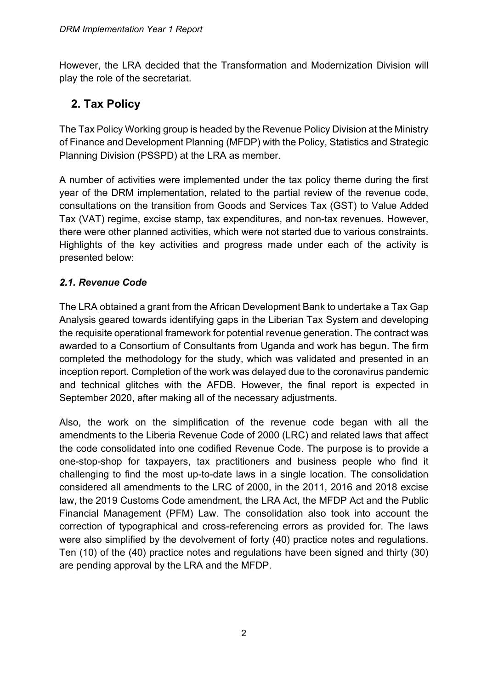However, the LRA decided that the Transformation and Modernization Division will play the role of the secretariat.

## **2. Tax Policy**

The Tax Policy Working group is headed by the Revenue Policy Division at the Ministry of Finance and Development Planning (MFDP) with the Policy, Statistics and Strategic Planning Division (PSSPD) at the LRA as member.

A number of activities were implemented under the tax policy theme during the first year of the DRM implementation, related to the partial review of the revenue code, consultations on the transition from Goods and Services Tax (GST) to Value Added Tax (VAT) regime, excise stamp, tax expenditures, and non-tax revenues. However, there were other planned activities, which were not started due to various constraints. Highlights of the key activities and progress made under each of the activity is presented below:

### *2.1. Revenue Code*

The LRA obtained a grant from the African Development Bank to undertake a Tax Gap Analysis geared towards identifying gaps in the Liberian Tax System and developing the requisite operational framework for potential revenue generation. The contract was awarded to a Consortium of Consultants from Uganda and work has begun. The firm completed the methodology for the study, which was validated and presented in an inception report. Completion of the work was delayed due to the coronavirus pandemic and technical glitches with the AFDB. However, the final report is expected in September 2020, after making all of the necessary adjustments.

Also, the work on the simplification of the revenue code began with all the amendments to the Liberia Revenue Code of 2000 (LRC) and related laws that affect the code consolidated into one codified Revenue Code. The purpose is to provide a one-stop-shop for taxpayers, tax practitioners and business people who find it challenging to find the most up-to-date laws in a single location. The consolidation considered all amendments to the LRC of 2000, in the 2011, 2016 and 2018 excise law, the 2019 Customs Code amendment, the LRA Act, the MFDP Act and the Public Financial Management (PFM) Law. The consolidation also took into account the correction of typographical and cross-referencing errors as provided for. The laws were also simplified by the devolvement of forty (40) practice notes and regulations. Ten (10) of the (40) practice notes and regulations have been signed and thirty (30) are pending approval by the LRA and the MFDP.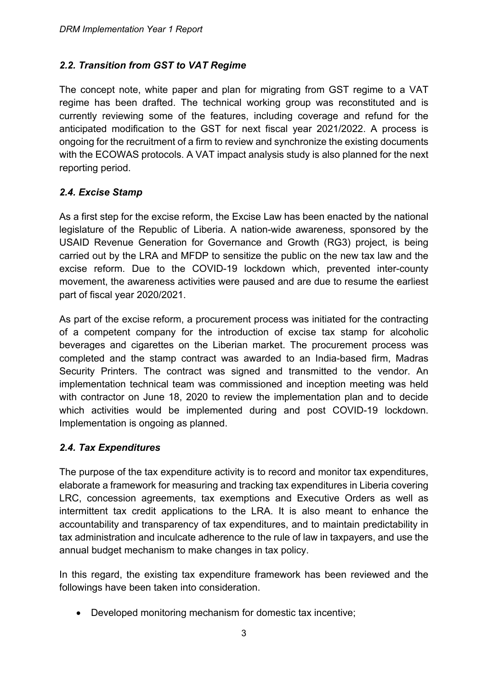#### *2.2. Transition from GST to VAT Regime*

The concept note, white paper and plan for migrating from GST regime to a VAT regime has been drafted. The technical working group was reconstituted and is currently reviewing some of the features, including coverage and refund for the anticipated modification to the GST for next fiscal year 2021/2022. A process is ongoing for the recruitment of a firm to review and synchronize the existing documents with the ECOWAS protocols. A VAT impact analysis study is also planned for the next reporting period.

#### *2.4. Excise Stamp*

As a first step for the excise reform, the Excise Law has been enacted by the national legislature of the Republic of Liberia. A nation-wide awareness, sponsored by the USAID Revenue Generation for Governance and Growth (RG3) project, is being carried out by the LRA and MFDP to sensitize the public on the new tax law and the excise reform. Due to the COVID-19 lockdown which, prevented inter-county movement, the awareness activities were paused and are due to resume the earliest part of fiscal year 2020/2021.

As part of the excise reform, a procurement process was initiated for the contracting of a competent company for the introduction of excise tax stamp for alcoholic beverages and cigarettes on the Liberian market. The procurement process was completed and the stamp contract was awarded to an India-based firm, Madras Security Printers. The contract was signed and transmitted to the vendor. An implementation technical team was commissioned and inception meeting was held with contractor on June 18, 2020 to review the implementation plan and to decide which activities would be implemented during and post COVID-19 lockdown. Implementation is ongoing as planned.

#### *2.4. Tax Expenditures*

The purpose of the tax expenditure activity is to record and monitor tax expenditures, elaborate a framework for measuring and tracking tax expenditures in Liberia covering LRC, concession agreements, tax exemptions and Executive Orders as well as intermittent tax credit applications to the LRA. It is also meant to enhance the accountability and transparency of tax expenditures, and to maintain predictability in tax administration and inculcate adherence to the rule of law in taxpayers, and use the annual budget mechanism to make changes in tax policy.

In this regard, the existing tax expenditure framework has been reviewed and the followings have been taken into consideration.

• Developed monitoring mechanism for domestic tax incentive;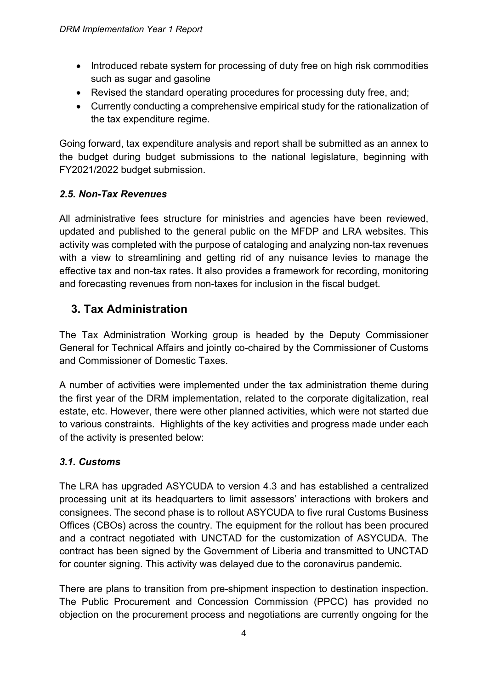- Introduced rebate system for processing of duty free on high risk commodities such as sugar and gasoline
- Revised the standard operating procedures for processing duty free, and;
- Currently conducting a comprehensive empirical study for the rationalization of the tax expenditure regime.

Going forward, tax expenditure analysis and report shall be submitted as an annex to the budget during budget submissions to the national legislature, beginning with FY2021/2022 budget submission.

### *2.5. Non-Tax Revenues*

All administrative fees structure for ministries and agencies have been reviewed, updated and published to the general public on the MFDP and LRA websites. This activity was completed with the purpose of cataloging and analyzing non-tax revenues with a view to streamlining and getting rid of any nuisance levies to manage the effective tax and non-tax rates. It also provides a framework for recording, monitoring and forecasting revenues from non-taxes for inclusion in the fiscal budget.

## **3. Tax Administration**

The Tax Administration Working group is headed by the Deputy Commissioner General for Technical Affairs and jointly co-chaired by the Commissioner of Customs and Commissioner of Domestic Taxes.

A number of activities were implemented under the tax administration theme during the first year of the DRM implementation, related to the corporate digitalization, real estate, etc. However, there were other planned activities, which were not started due to various constraints. Highlights of the key activities and progress made under each of the activity is presented below:

## *3.1. Customs*

The LRA has upgraded ASYCUDA to version 4.3 and has established a centralized processing unit at its headquarters to limit assessors' interactions with brokers and consignees. The second phase is to rollout ASYCUDA to five rural Customs Business Offices (CBOs) across the country. The equipment for the rollout has been procured and a contract negotiated with UNCTAD for the customization of ASYCUDA. The contract has been signed by the Government of Liberia and transmitted to UNCTAD for counter signing. This activity was delayed due to the coronavirus pandemic.

There are plans to transition from pre-shipment inspection to destination inspection. The Public Procurement and Concession Commission (PPCC) has provided no objection on the procurement process and negotiations are currently ongoing for the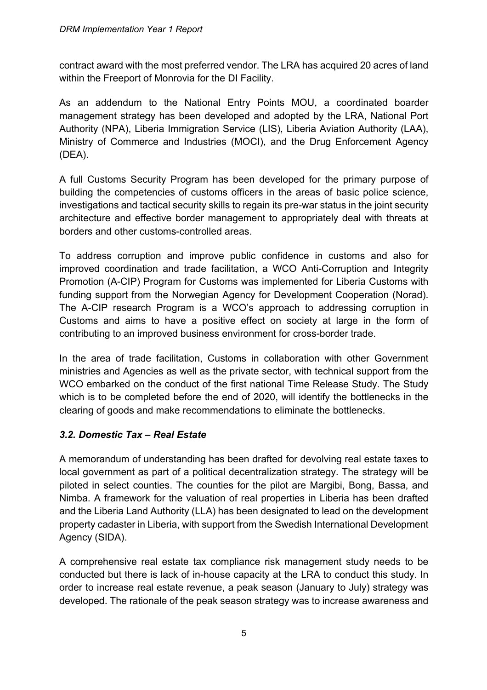contract award with the most preferred vendor. The LRA has acquired 20 acres of land within the Freeport of Monrovia for the DI Facility.

As an addendum to the National Entry Points MOU, a coordinated boarder management strategy has been developed and adopted by the LRA, National Port Authority (NPA), Liberia Immigration Service (LIS), Liberia Aviation Authority (LAA), Ministry of Commerce and Industries (MOCI), and the Drug Enforcement Agency (DEA).

A full Customs Security Program has been developed for the primary purpose of building the competencies of customs officers in the areas of basic police science, investigations and tactical security skills to regain its pre-war status in the joint security architecture and effective border management to appropriately deal with threats at borders and other customs-controlled areas.

To address corruption and improve public confidence in customs and also for improved coordination and trade facilitation, a WCO Anti-Corruption and Integrity Promotion (A-CIP) Program for Customs was implemented for Liberia Customs with funding support from the Norwegian Agency for Development Cooperation (Norad). The A-CIP research Program is a WCO's approach to addressing corruption in Customs and aims to have a positive effect on society at large in the form of contributing to an improved business environment for cross-border trade.

In the area of trade facilitation, Customs in collaboration with other Government ministries and Agencies as well as the private sector, with technical support from the WCO embarked on the conduct of the first national Time Release Study. The Study which is to be completed before the end of 2020, will identify the bottlenecks in the clearing of goods and make recommendations to eliminate the bottlenecks.

#### *3.2. Domestic Tax – Real Estate*

A memorandum of understanding has been drafted for devolving real estate taxes to local government as part of a political decentralization strategy. The strategy will be piloted in select counties. The counties for the pilot are Margibi, Bong, Bassa, and Nimba. A framework for the valuation of real properties in Liberia has been drafted and the Liberia Land Authority (LLA) has been designated to lead on the development property cadaster in Liberia, with support from the Swedish International Development Agency (SIDA).

A comprehensive real estate tax compliance risk management study needs to be conducted but there is lack of in-house capacity at the LRA to conduct this study. In order to increase real estate revenue, a peak season (January to July) strategy was developed. The rationale of the peak season strategy was to increase awareness and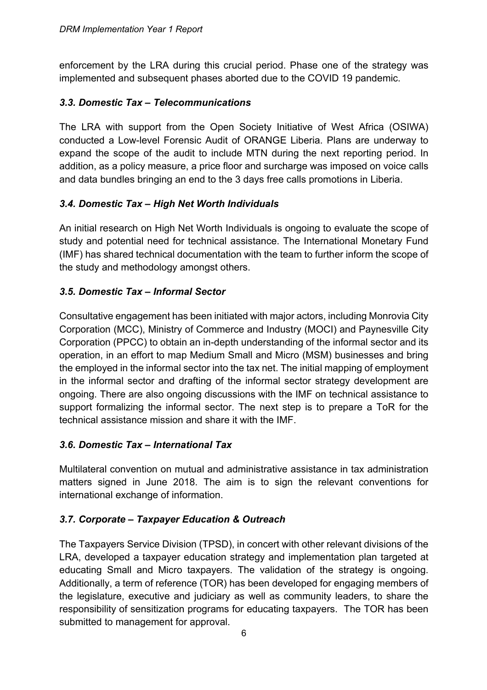enforcement by the LRA during this crucial period. Phase one of the strategy was implemented and subsequent phases aborted due to the COVID 19 pandemic.

#### *3.3. Domestic Tax – Telecommunications*

The LRA with support from the Open Society Initiative of West Africa (OSIWA) conducted a Low-level Forensic Audit of ORANGE Liberia. Plans are underway to expand the scope of the audit to include MTN during the next reporting period. In addition, as a policy measure, a price floor and surcharge was imposed on voice calls and data bundles bringing an end to the 3 days free calls promotions in Liberia.

#### *3.4. Domestic Tax – High Net Worth Individuals*

An initial research on High Net Worth Individuals is ongoing to evaluate the scope of study and potential need for technical assistance. The International Monetary Fund (IMF) has shared technical documentation with the team to further inform the scope of the study and methodology amongst others.

### *3.5. Domestic Tax – Informal Sector*

Consultative engagement has been initiated with major actors, including Monrovia City Corporation (MCC), Ministry of Commerce and Industry (MOCI) and Paynesville City Corporation (PPCC) to obtain an in-depth understanding of the informal sector and its operation, in an effort to map Medium Small and Micro (MSM) businesses and bring the employed in the informal sector into the tax net. The initial mapping of employment in the informal sector and drafting of the informal sector strategy development are ongoing. There are also ongoing discussions with the IMF on technical assistance to support formalizing the informal sector. The next step is to prepare a ToR for the technical assistance mission and share it with the IMF.

#### *3.6. Domestic Tax – International Tax*

Multilateral convention on mutual and administrative assistance in tax administration matters signed in June 2018. The aim is to sign the relevant conventions for international exchange of information.

#### *3.7. Corporate – Taxpayer Education & Outreach*

The Taxpayers Service Division (TPSD), in concert with other relevant divisions of the LRA, developed a taxpayer education strategy and implementation plan targeted at educating Small and Micro taxpayers. The validation of the strategy is ongoing. Additionally, a term of reference (TOR) has been developed for engaging members of the legislature, executive and judiciary as well as community leaders, to share the responsibility of sensitization programs for educating taxpayers. The TOR has been submitted to management for approval.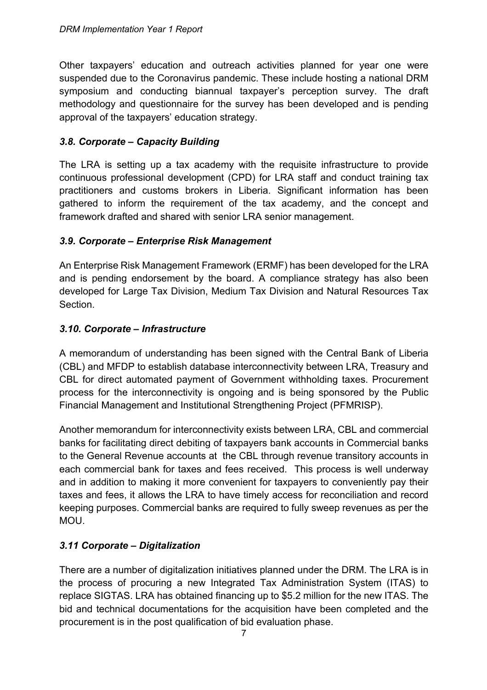Other taxpayers' education and outreach activities planned for year one were suspended due to the Coronavirus pandemic. These include hosting a national DRM symposium and conducting biannual taxpayer's perception survey. The draft methodology and questionnaire for the survey has been developed and is pending approval of the taxpayers' education strategy.

#### *3.8. Corporate – Capacity Building*

The LRA is setting up a tax academy with the requisite infrastructure to provide continuous professional development (CPD) for LRA staff and conduct training tax practitioners and customs brokers in Liberia. Significant information has been gathered to inform the requirement of the tax academy, and the concept and framework drafted and shared with senior LRA senior management.

#### *3.9. Corporate – Enterprise Risk Management*

An Enterprise Risk Management Framework (ERMF) has been developed for the LRA and is pending endorsement by the board. A compliance strategy has also been developed for Large Tax Division, Medium Tax Division and Natural Resources Tax Section.

#### *3.10. Corporate – Infrastructure*

A memorandum of understanding has been signed with the Central Bank of Liberia (CBL) and MFDP to establish database interconnectivity between LRA, Treasury and CBL for direct automated payment of Government withholding taxes. Procurement process for the interconnectivity is ongoing and is being sponsored by the Public Financial Management and Institutional Strengthening Project (PFMRISP).

Another memorandum for interconnectivity exists between LRA, CBL and commercial banks for facilitating direct debiting of taxpayers bank accounts in Commercial banks to the General Revenue accounts at the CBL through revenue transitory accounts in each commercial bank for taxes and fees received. This process is well underway and in addition to making it more convenient for taxpayers to conveniently pay their taxes and fees, it allows the LRA to have timely access for reconciliation and record keeping purposes. Commercial banks are required to fully sweep revenues as per the MOU.

#### *3.11 Corporate – Digitalization*

There are a number of digitalization initiatives planned under the DRM. The LRA is in the process of procuring a new Integrated Tax Administration System (ITAS) to replace SIGTAS. LRA has obtained financing up to \$5.2 million for the new ITAS. The bid and technical documentations for the acquisition have been completed and the procurement is in the post qualification of bid evaluation phase.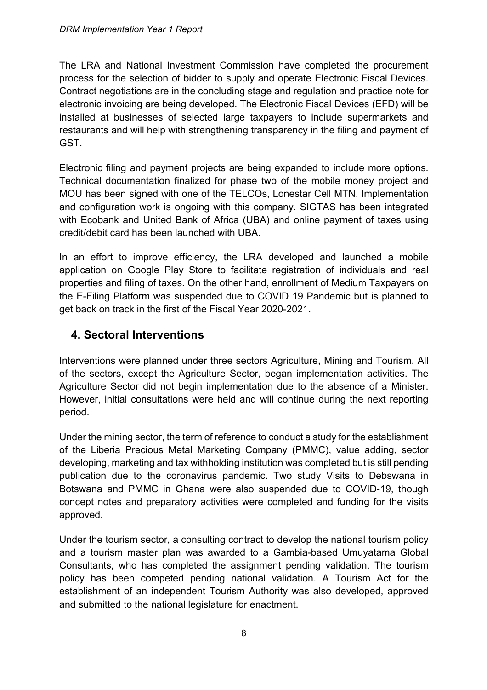The LRA and National Investment Commission have completed the procurement process for the selection of bidder to supply and operate Electronic Fiscal Devices. Contract negotiations are in the concluding stage and regulation and practice note for electronic invoicing are being developed. The Electronic Fiscal Devices (EFD) will be installed at businesses of selected large taxpayers to include supermarkets and restaurants and will help with strengthening transparency in the filing and payment of GST.

Electronic filing and payment projects are being expanded to include more options. Technical documentation finalized for phase two of the mobile money project and MOU has been signed with one of the TELCOs, Lonestar Cell MTN. Implementation and configuration work is ongoing with this company. SIGTAS has been integrated with Ecobank and United Bank of Africa (UBA) and online payment of taxes using credit/debit card has been launched with UBA.

In an effort to improve efficiency, the LRA developed and launched a mobile application on Google Play Store to facilitate registration of individuals and real properties and filing of taxes. On the other hand, enrollment of Medium Taxpayers on the E-Filing Platform was suspended due to COVID 19 Pandemic but is planned to get back on track in the first of the Fiscal Year 2020-2021.

## **4. Sectoral Interventions**

Interventions were planned under three sectors Agriculture, Mining and Tourism. All of the sectors, except the Agriculture Sector, began implementation activities. The Agriculture Sector did not begin implementation due to the absence of a Minister. However, initial consultations were held and will continue during the next reporting period.

Under the mining sector, the term of reference to conduct a study for the establishment of the Liberia Precious Metal Marketing Company (PMMC), value adding, sector developing, marketing and tax withholding institution was completed but is still pending publication due to the coronavirus pandemic. Two study Visits to Debswana in Botswana and PMMC in Ghana were also suspended due to COVID-19, though concept notes and preparatory activities were completed and funding for the visits approved.

Under the tourism sector, a consulting contract to develop the national tourism policy and a tourism master plan was awarded to a Gambia-based Umuyatama Global Consultants, who has completed the assignment pending validation. The tourism policy has been competed pending national validation. A Tourism Act for the establishment of an independent Tourism Authority was also developed, approved and submitted to the national legislature for enactment.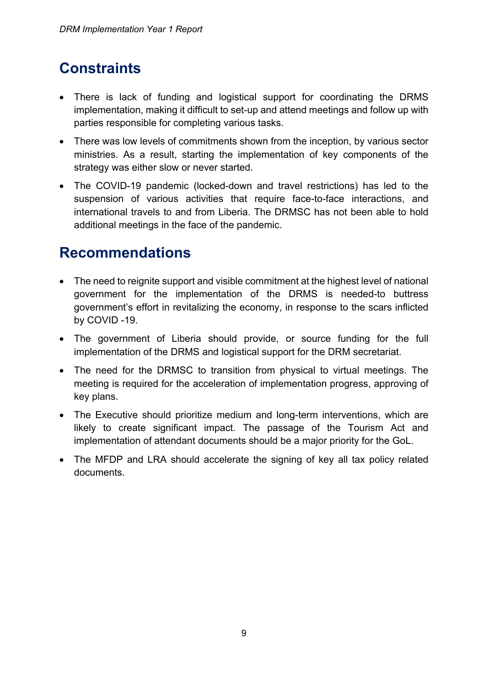# **Constraints**

- There is lack of funding and logistical support for coordinating the DRMS implementation, making it difficult to set-up and attend meetings and follow up with parties responsible for completing various tasks.
- There was low levels of commitments shown from the inception, by various sector ministries. As a result, starting the implementation of key components of the strategy was either slow or never started.
- The COVID-19 pandemic (locked-down and travel restrictions) has led to the suspension of various activities that require face-to-face interactions, and international travels to and from Liberia. The DRMSC has not been able to hold additional meetings in the face of the pandemic.

## **Recommendations**

- The need to reignite support and visible commitment at the highest level of national government for the implementation of the DRMS is needed-to buttress government's effort in revitalizing the economy, in response to the scars inflicted by COVID -19.
- The government of Liberia should provide, or source funding for the full implementation of the DRMS and logistical support for the DRM secretariat.
- The need for the DRMSC to transition from physical to virtual meetings. The meeting is required for the acceleration of implementation progress, approving of key plans.
- The Executive should prioritize medium and long-term interventions, which are likely to create significant impact. The passage of the Tourism Act and implementation of attendant documents should be a major priority for the GoL.
- The MFDP and LRA should accelerate the signing of key all tax policy related documents.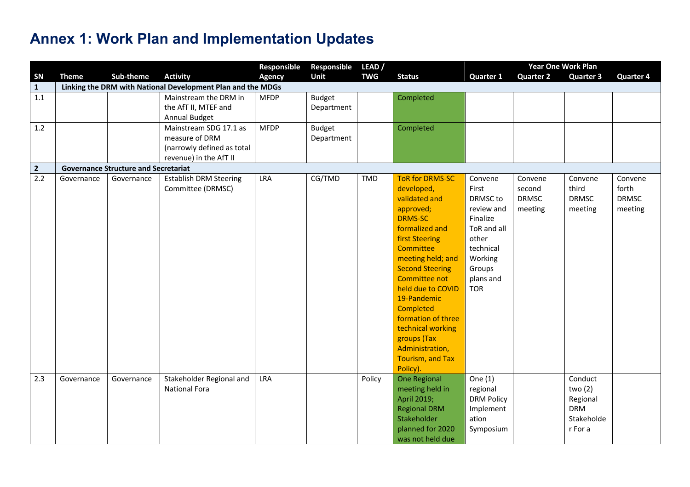# **Annex 1: Work Plan and Implementation Updates**

| Responsible<br>Responsible<br>LEAD/<br>Sub-theme<br><b>Activity</b><br>SN<br><b>Unit</b><br><b>TWG</b><br><b>Status</b><br><b>Quarter 2</b><br><b>Theme</b><br><b>Agency</b><br><b>Quarter 1</b><br><b>Quarter 3</b><br>Linking the DRM with National Development Plan and the MDGs<br>$\mathbf{1}$<br>1.1<br>Mainstream the DRM in<br><b>MFDP</b><br><b>Budget</b><br>Completed<br>the AfT II, MTEF and<br>Department<br>Annual Budget<br>1.2<br>Mainstream SDG 17.1 as<br><b>MFDP</b> | <b>Quarter 4</b> |
|-----------------------------------------------------------------------------------------------------------------------------------------------------------------------------------------------------------------------------------------------------------------------------------------------------------------------------------------------------------------------------------------------------------------------------------------------------------------------------------------|------------------|
|                                                                                                                                                                                                                                                                                                                                                                                                                                                                                         |                  |
|                                                                                                                                                                                                                                                                                                                                                                                                                                                                                         |                  |
|                                                                                                                                                                                                                                                                                                                                                                                                                                                                                         |                  |
|                                                                                                                                                                                                                                                                                                                                                                                                                                                                                         |                  |
|                                                                                                                                                                                                                                                                                                                                                                                                                                                                                         |                  |
| <b>Budget</b><br>Completed                                                                                                                                                                                                                                                                                                                                                                                                                                                              |                  |
| measure of DRM<br>Department                                                                                                                                                                                                                                                                                                                                                                                                                                                            |                  |
| (narrowly defined as total                                                                                                                                                                                                                                                                                                                                                                                                                                                              |                  |
| revenue) in the AfT II                                                                                                                                                                                                                                                                                                                                                                                                                                                                  |                  |
| $\overline{2}$<br><b>Governance Structure and Secretariat</b>                                                                                                                                                                                                                                                                                                                                                                                                                           |                  |
| 2.2<br>CG/TMD<br><b>Establish DRM Steering</b><br><b>LRA</b><br>TMD<br><b>ToR for DRMS-SC</b><br>Governance<br>Convene<br>Convene<br>Governance<br>Convene                                                                                                                                                                                                                                                                                                                              | Convene          |
| developed,<br>Committee (DRMSC)<br>First<br>third<br>second                                                                                                                                                                                                                                                                                                                                                                                                                             | forth            |
| validated and<br>DRMSC to<br><b>DRMSC</b><br><b>DRMSC</b>                                                                                                                                                                                                                                                                                                                                                                                                                               | <b>DRMSC</b>     |
| approved;<br>review and<br>meeting<br>meeting                                                                                                                                                                                                                                                                                                                                                                                                                                           | meeting          |
| <b>DRMS-SC</b><br>Finalize                                                                                                                                                                                                                                                                                                                                                                                                                                                              |                  |
| formalized and<br>ToR and all                                                                                                                                                                                                                                                                                                                                                                                                                                                           |                  |
| first Steering<br>other                                                                                                                                                                                                                                                                                                                                                                                                                                                                 |                  |
| Committee<br>technical                                                                                                                                                                                                                                                                                                                                                                                                                                                                  |                  |
| meeting held; and<br>Working                                                                                                                                                                                                                                                                                                                                                                                                                                                            |                  |
| <b>Second Steering</b><br>Groups                                                                                                                                                                                                                                                                                                                                                                                                                                                        |                  |
| Committee not<br>plans and                                                                                                                                                                                                                                                                                                                                                                                                                                                              |                  |
| <b>TOR</b><br>held due to COVID                                                                                                                                                                                                                                                                                                                                                                                                                                                         |                  |
| 19-Pandemic                                                                                                                                                                                                                                                                                                                                                                                                                                                                             |                  |
| Completed                                                                                                                                                                                                                                                                                                                                                                                                                                                                               |                  |
| formation of three                                                                                                                                                                                                                                                                                                                                                                                                                                                                      |                  |
| technical working                                                                                                                                                                                                                                                                                                                                                                                                                                                                       |                  |
| groups (Tax                                                                                                                                                                                                                                                                                                                                                                                                                                                                             |                  |
| Administration,<br>Tourism, and Tax                                                                                                                                                                                                                                                                                                                                                                                                                                                     |                  |
|                                                                                                                                                                                                                                                                                                                                                                                                                                                                                         |                  |
| Policy).<br>2.3<br>One $(1)$<br>Conduct<br>Stakeholder Regional and<br>LRA<br>One Regional<br>Governance<br>Governance<br>Policy                                                                                                                                                                                                                                                                                                                                                        |                  |
| <b>National Fora</b><br>meeting held in<br>two(2)<br>regional                                                                                                                                                                                                                                                                                                                                                                                                                           |                  |
| April 2019;<br><b>DRM Policy</b><br>Regional                                                                                                                                                                                                                                                                                                                                                                                                                                            |                  |
| <b>DRM</b><br><b>Regional DRM</b><br>Implement                                                                                                                                                                                                                                                                                                                                                                                                                                          |                  |
| Stakeholder<br>ation<br>Stakeholde                                                                                                                                                                                                                                                                                                                                                                                                                                                      |                  |
| planned for 2020<br>r For a<br>Symposium                                                                                                                                                                                                                                                                                                                                                                                                                                                |                  |
| was not held due                                                                                                                                                                                                                                                                                                                                                                                                                                                                        |                  |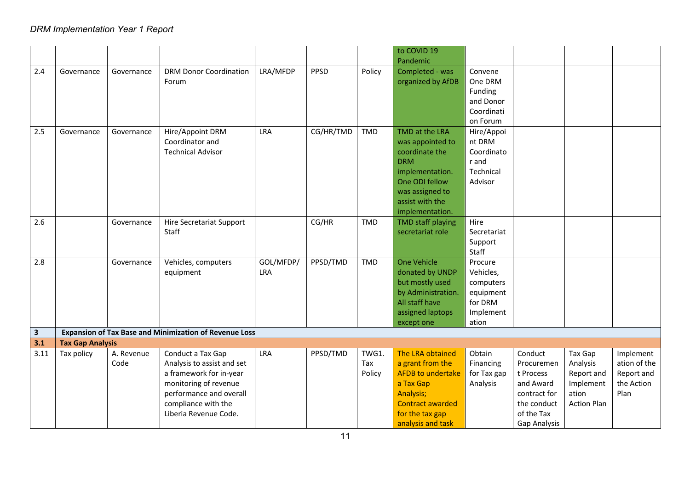|              |                         |                    |                                                                                                                                                                                |                         |           |                        | to COVID 19<br>Pandemic                                                                                                                                          |                                                                                 |                                                                                                              |                                                                               |                                                               |
|--------------|-------------------------|--------------------|--------------------------------------------------------------------------------------------------------------------------------------------------------------------------------|-------------------------|-----------|------------------------|------------------------------------------------------------------------------------------------------------------------------------------------------------------|---------------------------------------------------------------------------------|--------------------------------------------------------------------------------------------------------------|-------------------------------------------------------------------------------|---------------------------------------------------------------|
| 2.4          | Governance              | Governance         | <b>DRM Donor Coordination</b><br>Forum                                                                                                                                         | LRA/MFDP                | PPSD      | Policy                 | Completed - was<br>organized by AfDB                                                                                                                             | Convene<br>One DRM<br>Funding<br>and Donor<br>Coordinati<br>on Forum            |                                                                                                              |                                                                               |                                                               |
| 2.5          | Governance              | Governance         | Hire/Appoint DRM<br>Coordinator and<br><b>Technical Advisor</b>                                                                                                                | LRA                     | CG/HR/TMD | TMD                    | TMD at the LRA<br>was appointed to<br>coordinate the<br><b>DRM</b><br>implementation.<br>One ODI fellow<br>was assigned to<br>assist with the<br>implementation. | Hire/Appoi<br>nt DRM<br>Coordinato<br>r and<br>Technical<br>Advisor             |                                                                                                              |                                                                               |                                                               |
| 2.6          |                         | Governance         | <b>Hire Secretariat Support</b><br>Staff                                                                                                                                       |                         | CG/HR     | <b>TMD</b>             | <b>TMD staff playing</b><br>secretariat role                                                                                                                     | Hire<br>Secretariat<br>Support<br>Staff                                         |                                                                                                              |                                                                               |                                                               |
| 2.8          |                         | Governance         | Vehicles, computers<br>equipment                                                                                                                                               | GOL/MFDP/<br><b>LRA</b> | PPSD/TMD  | TMD                    | <b>One Vehicle</b><br>donated by UNDP<br>but mostly used<br>by Administration.<br>All staff have<br>assigned laptops<br>except one                               | Procure<br>Vehicles,<br>computers<br>equipment<br>for DRM<br>Implement<br>ation |                                                                                                              |                                                                               |                                                               |
| $\mathbf{3}$ |                         |                    | <b>Expansion of Tax Base and Minimization of Revenue Loss</b>                                                                                                                  |                         |           |                        |                                                                                                                                                                  |                                                                                 |                                                                                                              |                                                                               |                                                               |
| 3.1          | <b>Tax Gap Analysis</b> |                    |                                                                                                                                                                                |                         |           |                        |                                                                                                                                                                  |                                                                                 |                                                                                                              |                                                                               |                                                               |
| 3.11         | Tax policy              | A. Revenue<br>Code | Conduct a Tax Gap<br>Analysis to assist and set<br>a framework for in-year<br>monitoring of revenue<br>performance and overall<br>compliance with the<br>Liberia Revenue Code. | LRA                     | PPSD/TMD  | TWG1.<br>Tax<br>Policy | The LRA obtained<br>a grant from the<br><b>AFDB</b> to undertake<br>a Tax Gap<br>Analysis;<br><b>Contract awarded</b><br>for the tax gap<br>analysis and task    | Obtain<br>Financing<br>for Tax gap<br>Analysis                                  | Conduct<br>Procuremen<br>t Process<br>and Award<br>contract for<br>the conduct<br>of the Tax<br>Gap Analysis | Tax Gap<br>Analysis<br>Report and<br>Implement<br>ation<br><b>Action Plan</b> | Implement<br>ation of the<br>Report and<br>the Action<br>Plan |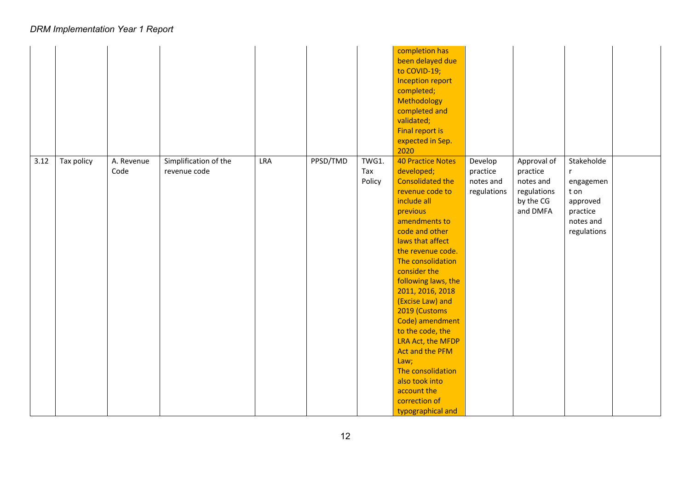|      |            |                    |                                       |     |          |                        | completion has<br>been delayed due<br>to COVID-19;<br>Inception report<br>completed;<br>Methodology<br>completed and<br>validated;<br><b>Final report is</b><br>expected in Sep.<br>2020                                                                                                                                                                                                                                                                                                            |                                                 |                                                                              |                                                                                     |  |
|------|------------|--------------------|---------------------------------------|-----|----------|------------------------|-----------------------------------------------------------------------------------------------------------------------------------------------------------------------------------------------------------------------------------------------------------------------------------------------------------------------------------------------------------------------------------------------------------------------------------------------------------------------------------------------------|-------------------------------------------------|------------------------------------------------------------------------------|-------------------------------------------------------------------------------------|--|
| 3.12 | Tax policy | A. Revenue<br>Code | Simplification of the<br>revenue code | LRA | PPSD/TMD | TWG1.<br>Tax<br>Policy | <b>40 Practice Notes</b><br>developed;<br><b>Consolidated the</b><br>revenue code to<br>include all<br>previous<br>amendments to<br>code and other<br>laws that affect<br>the revenue code.<br>The consolidation<br>consider the<br>following laws, the<br>2011, 2016, 2018<br>(Excise Law) and<br>2019 (Customs<br>Code) amendment<br>to the code, the<br>LRA Act, the MFDP<br>Act and the PFM<br>Law;<br>The consolidation<br>also took into<br>account the<br>correction of<br>typographical and | Develop<br>practice<br>notes and<br>regulations | Approval of<br>practice<br>notes and<br>regulations<br>by the CG<br>and DMFA | Stakeholde<br>engagemen<br>t on<br>approved<br>practice<br>notes and<br>regulations |  |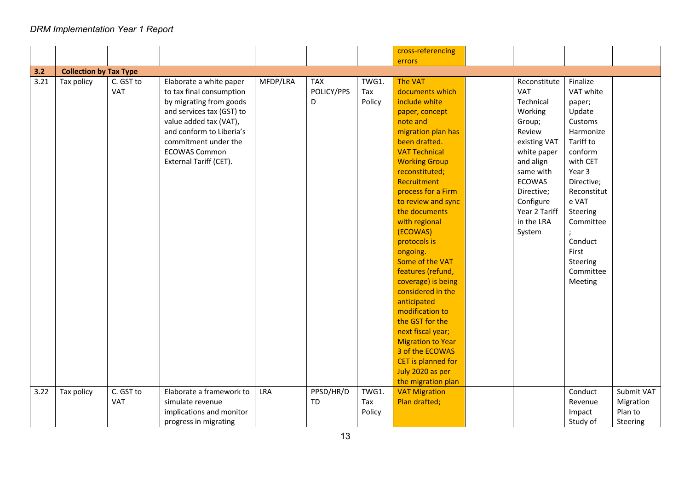|      |                               |            |                           |            |            |        | cross-referencing             |               |             |            |
|------|-------------------------------|------------|---------------------------|------------|------------|--------|-------------------------------|---------------|-------------|------------|
|      |                               |            |                           |            |            |        | errors                        |               |             |            |
| 3.2  | <b>Collection by Tax Type</b> |            |                           |            |            |        |                               |               |             |            |
| 3.21 | Tax policy                    | C. GST to  | Elaborate a white paper   | MFDP/LRA   | <b>TAX</b> | TWG1.  | <b>The VAT</b>                | Reconstitute  | Finalize    |            |
|      |                               | <b>VAT</b> | to tax final consumption  |            | POLICY/PPS | Tax    | documents which               | <b>VAT</b>    | VAT white   |            |
|      |                               |            | by migrating from goods   |            | D          | Policy | include white                 | Technical     | paper;      |            |
|      |                               |            | and services tax (GST) to |            |            |        | paper, concept                | Working       | Update      |            |
|      |                               |            | value added tax (VAT),    |            |            |        | note and                      | Group;        | Customs     |            |
|      |                               |            | and conform to Liberia's  |            |            |        | migration plan has            | Review        | Harmonize   |            |
|      |                               |            | commitment under the      |            |            |        | been drafted.                 | existing VAT  | Tariff to   |            |
|      |                               |            | <b>ECOWAS Common</b>      |            |            |        | <b>VAT Technical</b>          |               | conform     |            |
|      |                               |            |                           |            |            |        |                               | white paper   | with CET    |            |
|      |                               |            | External Tariff (CET).    |            |            |        | <b>Working Group</b>          | and align     |             |            |
|      |                               |            |                           |            |            |        | reconstituted;<br>Recruitment | same with     | Year 3      |            |
|      |                               |            |                           |            |            |        |                               | <b>ECOWAS</b> | Directive;  |            |
|      |                               |            |                           |            |            |        | process for a Firm            | Directive;    | Reconstitut |            |
|      |                               |            |                           |            |            |        | to review and sync            | Configure     | e VAT       |            |
|      |                               |            |                           |            |            |        | the documents                 | Year 2 Tariff | Steering    |            |
|      |                               |            |                           |            |            |        | with regional                 | in the LRA    | Committee   |            |
|      |                               |            |                           |            |            |        | (ECOWAS)                      | System        |             |            |
|      |                               |            |                           |            |            |        | protocols is                  |               | Conduct     |            |
|      |                               |            |                           |            |            |        | ongoing.                      |               | First       |            |
|      |                               |            |                           |            |            |        | Some of the VAT               |               | Steering    |            |
|      |                               |            |                           |            |            |        | features (refund,             |               | Committee   |            |
|      |                               |            |                           |            |            |        | coverage) is being            |               | Meeting     |            |
|      |                               |            |                           |            |            |        | considered in the             |               |             |            |
|      |                               |            |                           |            |            |        | anticipated                   |               |             |            |
|      |                               |            |                           |            |            |        | modification to               |               |             |            |
|      |                               |            |                           |            |            |        | the GST for the               |               |             |            |
|      |                               |            |                           |            |            |        | next fiscal year;             |               |             |            |
|      |                               |            |                           |            |            |        | <b>Migration to Year</b>      |               |             |            |
|      |                               |            |                           |            |            |        | 3 of the ECOWAS               |               |             |            |
|      |                               |            |                           |            |            |        | CET is planned for            |               |             |            |
|      |                               |            |                           |            |            |        | July 2020 as per              |               |             |            |
|      |                               |            |                           |            |            |        | the migration plan            |               |             |            |
| 3.22 | Tax policy                    | C. GST to  | Elaborate a framework to  | <b>LRA</b> | PPSD/HR/D  | TWG1.  | <b>VAT Migration</b>          |               | Conduct     | Submit VAT |
|      |                               | VAT        | simulate revenue          |            | <b>TD</b>  | Tax    | Plan drafted;                 |               | Revenue     | Migration  |
|      |                               |            | implications and monitor  |            |            | Policy |                               |               | Impact      | Plan to    |
|      |                               |            | progress in migrating     |            |            |        |                               |               | Study of    | Steering   |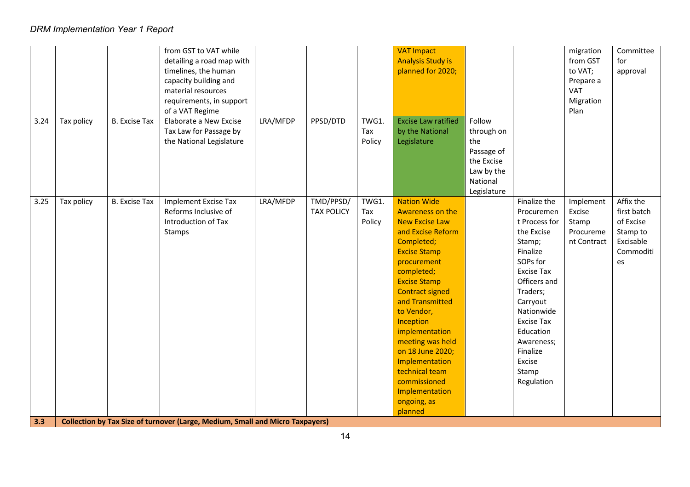| LRA/MFDP<br>PPSD/DTD<br><b>Excise Law ratified</b><br>Follow<br>3.24<br>Tax policy<br><b>B.</b> Excise Tax<br>Elaborate a New Excise<br>TWG1.<br>Tax Law for Passage by<br>by the National<br>Tax<br>through on<br>the National Legislature<br>Policy<br>Legislature<br>the<br>Passage of<br>the Excise<br>Law by the<br>National<br>Legislature<br><b>Nation Wide</b><br>Implement Excise Tax<br>LRA/MFDP<br>TMD/PPSD/<br>TWG1.<br>Finalize the<br>3.25<br>Tax policy<br><b>B.</b> Excise Tax<br>Implement<br>Reforms Inclusive of<br><b>TAX POLICY</b><br>Awareness on the<br>Tax<br>Procuremen<br>Excise<br><b>New Excise Law</b><br>Introduction of Tax<br>Policy<br>t Process for<br>Stamp<br>and Excise Reform<br>the Excise<br>Stamps<br>Procureme<br>Completed;<br>nt Contract<br>Stamp;<br>Finalize<br><b>Excise Stamp</b><br>SOPs for<br>procurement<br>es<br><b>Excise Tax</b><br>completed;<br>Officers and<br><b>Excise Stamp</b><br><b>Contract signed</b><br>Traders;<br>and Transmitted<br>Carryout<br>Nationwide<br>to Vendor,<br><b>Excise Tax</b><br>Inception<br>implementation<br>Education<br>meeting was held<br>Awareness;<br>on 18 June 2020;<br>Finalize<br>Excise<br>Implementation<br>technical team<br>Stamp<br>commissioned<br>Regulation<br>Implementation<br>ongoing, as |  | from GST to VAT while<br>detailing a road map with<br>timelines, the human<br>capacity building and<br>material resources<br>requirements, in support<br>of a VAT Regime |  | <b>VAT Impact</b><br><b>Analysis Study is</b><br>planned for 2020; |  | migration<br>from GST<br>to VAT;<br>Prepare a<br><b>VAT</b><br>Migration<br>Plan | Committee<br>for<br>approval                                                |
|----------------------------------------------------------------------------------------------------------------------------------------------------------------------------------------------------------------------------------------------------------------------------------------------------------------------------------------------------------------------------------------------------------------------------------------------------------------------------------------------------------------------------------------------------------------------------------------------------------------------------------------------------------------------------------------------------------------------------------------------------------------------------------------------------------------------------------------------------------------------------------------------------------------------------------------------------------------------------------------------------------------------------------------------------------------------------------------------------------------------------------------------------------------------------------------------------------------------------------------------------------------------------------------------------------|--|--------------------------------------------------------------------------------------------------------------------------------------------------------------------------|--|--------------------------------------------------------------------|--|----------------------------------------------------------------------------------|-----------------------------------------------------------------------------|
|                                                                                                                                                                                                                                                                                                                                                                                                                                                                                                                                                                                                                                                                                                                                                                                                                                                                                                                                                                                                                                                                                                                                                                                                                                                                                                          |  |                                                                                                                                                                          |  |                                                                    |  |                                                                                  |                                                                             |
| <b>Collection by Tax Size of turnover (Large, Medium, Small and Micro Taxpayers)</b>                                                                                                                                                                                                                                                                                                                                                                                                                                                                                                                                                                                                                                                                                                                                                                                                                                                                                                                                                                                                                                                                                                                                                                                                                     |  |                                                                                                                                                                          |  | planned                                                            |  |                                                                                  | Affix the<br>first batch<br>of Excise<br>Stamp to<br>Excisable<br>Commoditi |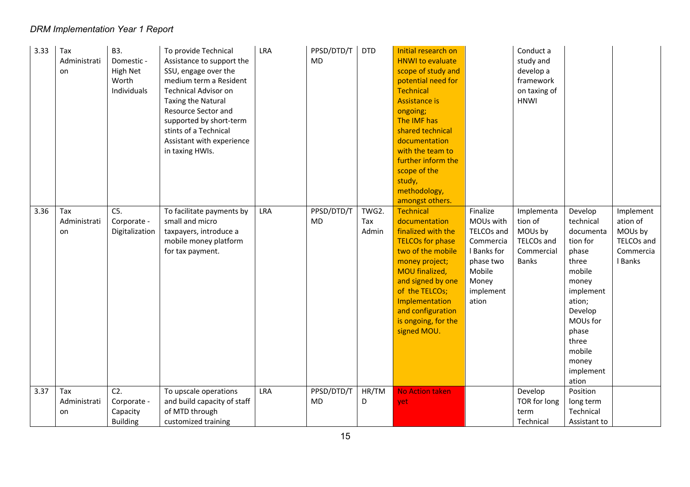| 3.33 | Tax<br>Administrati<br>on | B3.<br>Domestic -<br>High Net<br>Worth<br>Individuals | To provide Technical<br>Assistance to support the<br>SSU, engage over the<br>medium term a Resident<br><b>Technical Advisor on</b><br><b>Taxing the Natural</b><br>Resource Sector and<br>supported by short-term<br>stints of a Technical<br>Assistant with experience<br>in taxing HWIs. | LRA | PPSD/DTD/T<br><b>MD</b> | <b>DTD</b>            | Initial research on<br><b>HNWI</b> to evaluate<br>scope of study and<br>potential need for<br><b>Technical</b><br><b>Assistance is</b><br>ongoing;<br>The IMF has<br>shared technical<br>documentation<br>with the team to<br>further inform the<br>scope of the<br>study,<br>methodology,<br>amongst others. |                                                                                                                       | Conduct a<br>study and<br>develop a<br>framework<br>on taxing of<br><b>HNWI</b> |                                                                                                                                                                                             |                                                                               |
|------|---------------------------|-------------------------------------------------------|--------------------------------------------------------------------------------------------------------------------------------------------------------------------------------------------------------------------------------------------------------------------------------------------|-----|-------------------------|-----------------------|---------------------------------------------------------------------------------------------------------------------------------------------------------------------------------------------------------------------------------------------------------------------------------------------------------------|-----------------------------------------------------------------------------------------------------------------------|---------------------------------------------------------------------------------|---------------------------------------------------------------------------------------------------------------------------------------------------------------------------------------------|-------------------------------------------------------------------------------|
| 3.36 | Tax<br>Administrati<br>on | $C5$ .<br>Corporate -<br>Digitalization               | To facilitate payments by<br>small and micro<br>taxpayers, introduce a<br>mobile money platform<br>for tax payment.                                                                                                                                                                        | LRA | PPSD/DTD/T<br>MD        | TWG2.<br>Tax<br>Admin | <b>Technical</b><br>documentation<br>finalized with the<br><b>TELCOs for phase</b><br>two of the mobile<br>money project;<br>MOU finalized,<br>and signed by one<br>of the TELCOs;<br>Implementation<br>and configuration<br>is ongoing, for the<br>signed MOU.                                               | Finalize<br>MOUs with<br>TELCOs and<br>Commercia<br>I Banks for<br>phase two<br>Mobile<br>Money<br>implement<br>ation | Implementa<br>tion of<br>MOUs by<br>TELCOs and<br>Commercial<br><b>Banks</b>    | Develop<br>technical<br>documenta<br>tion for<br>phase<br>three<br>mobile<br>money<br>implement<br>ation;<br>Develop<br>MOUs for<br>phase<br>three<br>mobile<br>money<br>implement<br>ation | Implement<br>ation of<br>MOUs by<br><b>TELCOs and</b><br>Commercia<br>I Banks |
| 3.37 | Tax<br>Administrati<br>on | $C2$ .<br>Corporate -<br>Capacity<br><b>Building</b>  | To upscale operations<br>and build capacity of staff<br>of MTD through<br>customized training                                                                                                                                                                                              | LRA | PPSD/DTD/T<br>MD.       | HR/TM<br>D            | <b>No Action taken</b><br>yet                                                                                                                                                                                                                                                                                 |                                                                                                                       | Develop<br>TOR for long<br>term<br>Technical                                    | Position<br>long term<br>Technical<br>Assistant to                                                                                                                                          |                                                                               |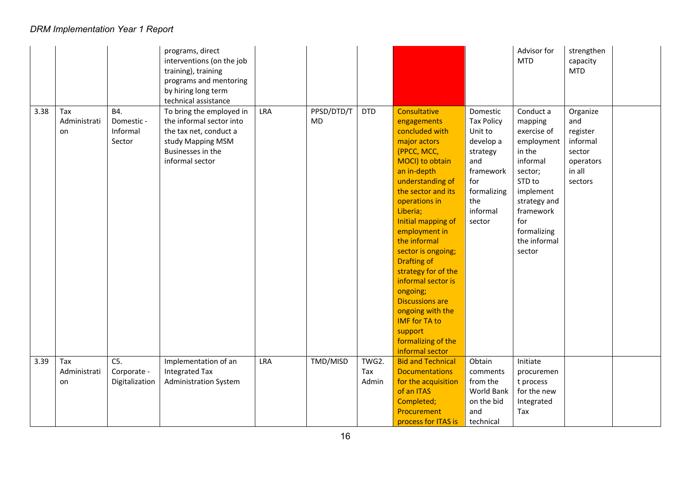|      |                           |                                         | programs, direct<br>interventions (on the job<br>training), training<br>programs and mentoring<br>by hiring long term<br>technical assistance |     |                         |              |                                                                                                                                                                                                                                                                                                                                                                                                                                                                             |                                                                                                                                          | Advisor for<br><b>MTD</b>                                                                                                                                                              | strengthen<br>capacity<br><b>MTD</b>                                                |  |
|------|---------------------------|-----------------------------------------|-----------------------------------------------------------------------------------------------------------------------------------------------|-----|-------------------------|--------------|-----------------------------------------------------------------------------------------------------------------------------------------------------------------------------------------------------------------------------------------------------------------------------------------------------------------------------------------------------------------------------------------------------------------------------------------------------------------------------|------------------------------------------------------------------------------------------------------------------------------------------|----------------------------------------------------------------------------------------------------------------------------------------------------------------------------------------|-------------------------------------------------------------------------------------|--|
| 3.38 | Tax<br>Administrati<br>on | B4.<br>Domestic -<br>Informal<br>Sector | To bring the employed in<br>the informal sector into<br>the tax net, conduct a<br>study Mapping MSM<br>Businesses in the<br>informal sector   | LRA | PPSD/DTD/T<br><b>MD</b> | <b>DTD</b>   | Consultative<br>engagements<br>concluded with<br>major actors<br>(PPCC, MCC,<br>MOCI) to obtain<br>an in-depth<br>understanding of<br>the sector and its<br>operations in<br>Liberia;<br>Initial mapping of<br>employment in<br>the informal<br>sector is ongoing;<br><b>Drafting of</b><br>strategy for of the<br>informal sector is<br>ongoing;<br><b>Discussions are</b><br>ongoing with the<br><b>IMF</b> for TA to<br>support<br>formalizing of the<br>informal sector | Domestic<br><b>Tax Policy</b><br>Unit to<br>develop a<br>strategy<br>and<br>framework<br>for<br>formalizing<br>the<br>informal<br>sector | Conduct a<br>mapping<br>exercise of<br>employment<br>in the<br>informal<br>sector;<br>STD to<br>implement<br>strategy and<br>framework<br>for<br>formalizing<br>the informal<br>sector | Organize<br>and<br>register<br>informal<br>sector<br>operators<br>in all<br>sectors |  |
| 3.39 | Tax                       | $C5$ .                                  | Implementation of an                                                                                                                          | LRA | TMD/MISD                | TWG2.        | <b>Bid and Technical</b>                                                                                                                                                                                                                                                                                                                                                                                                                                                    | Obtain                                                                                                                                   | Initiate                                                                                                                                                                               |                                                                                     |  |
|      | Administrati<br>on        | Corporate -<br>Digitalization           | <b>Integrated Tax</b><br><b>Administration System</b>                                                                                         |     |                         | Tax<br>Admin | <b>Documentations</b><br>for the acquisition<br>of an ITAS<br>Completed;<br>Procurement<br>process for ITAS is                                                                                                                                                                                                                                                                                                                                                              | comments<br>from the<br>World Bank<br>on the bid<br>and<br>technical                                                                     | procuremen<br>t process<br>for the new<br>Integrated<br>Tax                                                                                                                            |                                                                                     |  |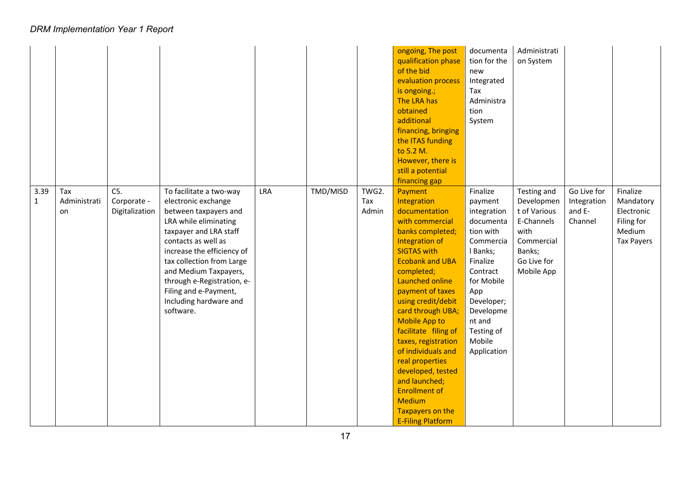|                      |                           |                                         |                                                                                                                                                                                                                                                                                                                                     |     |          |                       | ongoing, The post<br>qualification phase<br>of the bid<br>evaluation process<br>is ongoing.;<br>The LRA has<br>obtained<br>additional<br>financing, bringing<br>the ITAS funding<br>to 5.2 M.<br>However, there is<br>still a potential<br>financing gap                                                                                                                                                                                                                                        | documenta<br>tion for the<br>new<br>Integrated<br>Tax<br>Administra<br>tion<br>System                                                                                                                          | Administrati<br>on System                                                                                            |                                                 |                                                                                  |
|----------------------|---------------------------|-----------------------------------------|-------------------------------------------------------------------------------------------------------------------------------------------------------------------------------------------------------------------------------------------------------------------------------------------------------------------------------------|-----|----------|-----------------------|-------------------------------------------------------------------------------------------------------------------------------------------------------------------------------------------------------------------------------------------------------------------------------------------------------------------------------------------------------------------------------------------------------------------------------------------------------------------------------------------------|----------------------------------------------------------------------------------------------------------------------------------------------------------------------------------------------------------------|----------------------------------------------------------------------------------------------------------------------|-------------------------------------------------|----------------------------------------------------------------------------------|
| 3.39<br>$\mathbf{1}$ | Tax<br>Administrati<br>on | $C5$ .<br>Corporate -<br>Digitalization | To facilitate a two-way<br>electronic exchange<br>between taxpayers and<br>LRA while eliminating<br>taxpayer and LRA staff<br>contacts as well as<br>increase the efficiency of<br>tax collection from Large<br>and Medium Taxpayers,<br>through e-Registration, e-<br>Filing and e-Payment,<br>Including hardware and<br>software. | LRA | TMD/MISD | TWG2.<br>Tax<br>Admin | Payment<br>Integration<br>documentation<br>with commercial<br>banks completed;<br>Integration of<br><b>SIGTAS with</b><br><b>Ecobank and UBA</b><br>completed;<br>Launched online<br>payment of taxes<br>using credit/debit<br>card through UBA;<br><b>Mobile App to</b><br>facilitate filing of<br>taxes, registration<br>of individuals and<br>real properties<br>developed, tested<br>and launched;<br><b>Enrollment of</b><br><b>Medium</b><br>Taxpayers on the<br><b>E-Filing Platform</b> | Finalize<br>payment<br>integration<br>documenta<br>tion with<br>Commercia<br>I Banks;<br>Finalize<br>Contract<br>for Mobile<br>App<br>Developer;<br>Developme<br>nt and<br>Testing of<br>Mobile<br>Application | Testing and<br>Developmen<br>t of Various<br>E-Channels<br>with<br>Commercial<br>Banks;<br>Go Live for<br>Mobile App | Go Live for<br>Integration<br>and E-<br>Channel | Finalize<br>Mandatory<br>Electronic<br>Filing for<br>Medium<br><b>Tax Payers</b> |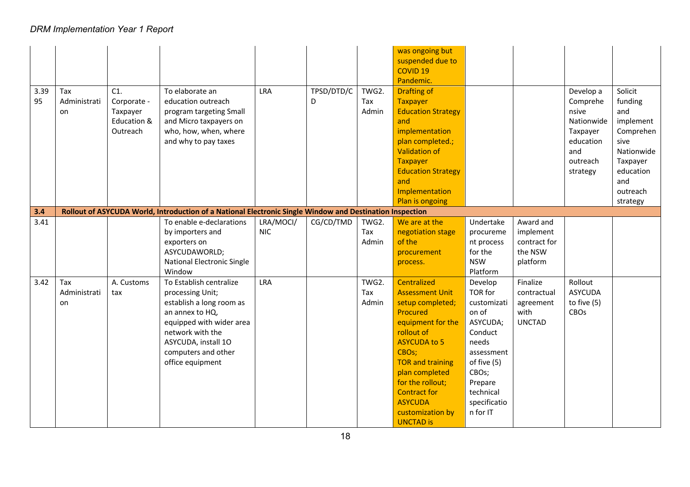| 3.39<br>95 | Tax<br>Administrati<br>on | C1.<br>Corporate -<br>Taxpayer<br>Education &<br>Outreach | To elaborate an<br>education outreach<br>program targeting Small<br>and Micro taxpayers on<br>who, how, when, where<br>and why to pay taxes                                                                  | <b>LRA</b>              | TPSD/DTD/C<br>D | TWG2.<br>Tax<br>Admin | was ongoing but<br>suspended due to<br><b>COVID 19</b><br>Pandemic.<br><b>Drafting of</b><br><b>Taxpayer</b><br><b>Education Strategy</b><br>and<br>implementation<br>plan completed.;<br><b>Validation of</b><br><b>Taxpayer</b><br><b>Education Strategy</b><br>and<br>Implementation    |                                                                                                                                                                      |                                                               | Develop a<br>Comprehe<br>nsive<br>Nationwide<br>Taxpayer<br>education<br>and<br>outreach<br>strategy | Solicit<br>funding<br>and<br>implement<br>Comprehen<br>sive<br>Nationwide<br>Taxpayer<br>education<br>and<br>outreach |
|------------|---------------------------|-----------------------------------------------------------|--------------------------------------------------------------------------------------------------------------------------------------------------------------------------------------------------------------|-------------------------|-----------------|-----------------------|--------------------------------------------------------------------------------------------------------------------------------------------------------------------------------------------------------------------------------------------------------------------------------------------|----------------------------------------------------------------------------------------------------------------------------------------------------------------------|---------------------------------------------------------------|------------------------------------------------------------------------------------------------------|-----------------------------------------------------------------------------------------------------------------------|
|            |                           |                                                           |                                                                                                                                                                                                              |                         |                 |                       | Plan is ongoing                                                                                                                                                                                                                                                                            |                                                                                                                                                                      |                                                               |                                                                                                      | strategy                                                                                                              |
| 3.4        |                           |                                                           | Rollout of ASYCUDA World, Introduction of a National Electronic Single Window and Destination Inspection                                                                                                     |                         |                 |                       |                                                                                                                                                                                                                                                                                            |                                                                                                                                                                      |                                                               |                                                                                                      |                                                                                                                       |
| 3.41       |                           |                                                           | To enable e-declarations<br>by importers and<br>exporters on<br>ASYCUDAWORLD;<br><b>National Electronic Single</b><br>Window                                                                                 | LRA/MOCI/<br><b>NIC</b> | CG/CD/TMD       | TWG2.<br>Tax<br>Admin | We are at the<br>negotiation stage<br>of the<br>procurement<br>process.                                                                                                                                                                                                                    | Undertake<br>procureme<br>nt process<br>for the<br><b>NSW</b><br>Platform                                                                                            | Award and<br>implement<br>contract for<br>the NSW<br>platform |                                                                                                      |                                                                                                                       |
| 3.42       | Tax<br>Administrati<br>on | A. Customs<br>tax                                         | To Establish centralize<br>processing Unit;<br>establish a long room as<br>an annex to HQ,<br>equipped with wider area<br>network with the<br>ASYCUDA, install 10<br>computers and other<br>office equipment | LRA                     |                 | TWG2.<br>Tax<br>Admin | Centralized<br><b>Assessment Unit</b><br>setup completed;<br>Procured<br>equipment for the<br>rollout of<br><b>ASYCUDA to 5</b><br>CBOs;<br><b>TOR and training</b><br>plan completed<br>for the rollout;<br><b>Contract for</b><br><b>ASYCUDA</b><br>customization by<br><b>UNCTAD is</b> | Develop<br>TOR for<br>customizati<br>on of<br>ASYCUDA;<br>Conduct<br>needs<br>assessment<br>of five (5)<br>CBOs;<br>Prepare<br>technical<br>specificatio<br>n for IT | Finalize<br>contractual<br>agreement<br>with<br><b>UNCTAD</b> | Rollout<br><b>ASYCUDA</b><br>to five $(5)$<br><b>CBOs</b>                                            |                                                                                                                       |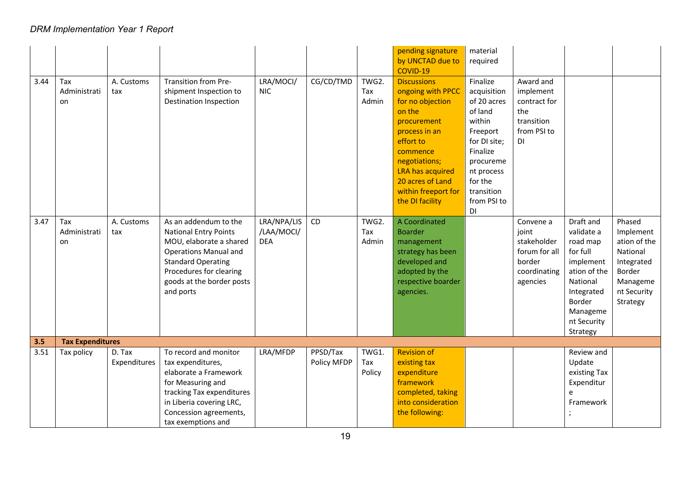| 3.44 | Tax<br>Administrati<br>on | A. Customs<br>tax      | Transition from Pre-<br>shipment Inspection to<br><b>Destination Inspection</b>                                                                                                                                    | LRA/MOCI/<br><b>NIC</b>                 | CG/CD/TMD               | TWG2.<br>Tax<br>Admin  | pending signature<br>by UNCTAD due to<br>COVID-19<br><b>Discussions</b><br>ongoing with PPCC<br>for no objection<br>on the<br>procurement<br>process in an<br>effort to<br>commence<br>negotiations;<br><b>LRA has acquired</b><br>20 acres of Land<br>within freeport for<br>the DI facility | material<br>required<br>Finalize<br>acquisition<br>of 20 acres<br>of land<br>within<br>Freeport<br>for DI site;<br>Finalize<br>procureme<br>nt process<br>for the<br>transition<br>from PSI to | Award and<br>implement<br>contract for<br>the<br>transition<br>from PSI to<br>DI         |                                                                                                                                                         |                                                                                                                |
|------|---------------------------|------------------------|--------------------------------------------------------------------------------------------------------------------------------------------------------------------------------------------------------------------|-----------------------------------------|-------------------------|------------------------|-----------------------------------------------------------------------------------------------------------------------------------------------------------------------------------------------------------------------------------------------------------------------------------------------|------------------------------------------------------------------------------------------------------------------------------------------------------------------------------------------------|------------------------------------------------------------------------------------------|---------------------------------------------------------------------------------------------------------------------------------------------------------|----------------------------------------------------------------------------------------------------------------|
| 3.47 | Tax<br>Administrati<br>on | A. Customs<br>tax      | As an addendum to the<br><b>National Entry Points</b><br>MOU, elaborate a shared<br><b>Operations Manual and</b><br><b>Standard Operating</b><br>Procedures for clearing<br>goods at the border posts<br>and ports | LRA/NPA/LIS<br>/LAA/MOCI/<br><b>DEA</b> | CD                      | TWG2.<br>Tax<br>Admin  | <b>A Coordinated</b><br><b>Boarder</b><br>management<br>strategy has been<br>developed and<br>adopted by the<br>respective boarder<br>agencies.                                                                                                                                               | DI                                                                                                                                                                                             | Convene a<br>joint<br>stakeholder<br>forum for all<br>border<br>coordinating<br>agencies | Draft and<br>validate a<br>road map<br>for full<br>implement<br>ation of the<br>National<br>Integrated<br>Border<br>Manageme<br>nt Security<br>Strategy | Phased<br>Implement<br>ation of the<br>National<br>Integrated<br>Border<br>Manageme<br>nt Security<br>Strategy |
| 3.5  | <b>Tax Expenditures</b>   |                        |                                                                                                                                                                                                                    |                                         |                         |                        |                                                                                                                                                                                                                                                                                               |                                                                                                                                                                                                |                                                                                          |                                                                                                                                                         |                                                                                                                |
| 3.51 | Tax policy                | D. Tax<br>Expenditures | To record and monitor<br>tax expenditures,<br>elaborate a Framework<br>for Measuring and<br>tracking Tax expenditures<br>in Liberia covering LRC,<br>Concession agreements,<br>tax exemptions and                  | LRA/MFDP                                | PPSD/Tax<br>Policy MFDP | TWG1.<br>Tax<br>Policy | <b>Revision of</b><br>existing tax<br>expenditure<br>framework<br>completed, taking<br>into consideration<br>the following:                                                                                                                                                                   |                                                                                                                                                                                                |                                                                                          | Review and<br>Update<br>existing Tax<br>Expenditur<br>e<br>Framework                                                                                    |                                                                                                                |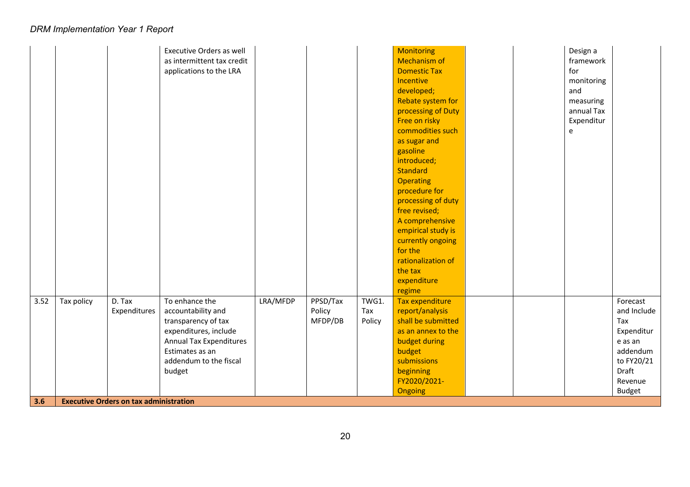| 3.6  |            | <b>Executive Orders on tax administration</b> |                                  |          |          |        |                              |  |            |                     |
|------|------------|-----------------------------------------------|----------------------------------|----------|----------|--------|------------------------------|--|------------|---------------------|
|      |            |                                               |                                  |          |          |        | Ongoing                      |  |            | <b>Budget</b>       |
|      |            |                                               |                                  |          |          |        | FY2020/2021-                 |  |            | Revenue             |
|      |            |                                               | addendum to the fiscal<br>budget |          |          |        | submissions<br>beginning     |  |            | to FY20/21<br>Draft |
|      |            |                                               | Estimates as an                  |          |          |        | budget                       |  |            | addendum            |
|      |            |                                               | <b>Annual Tax Expenditures</b>   |          |          |        | budget during                |  |            | e as an             |
|      |            |                                               | expenditures, include            |          |          |        | as an annex to the           |  |            | Expenditur          |
|      |            |                                               | transparency of tax              |          | MFDP/DB  | Policy | shall be submitted           |  |            | Tax                 |
|      |            | Expenditures                                  | accountability and               |          | Policy   | Tax    | report/analysis              |  |            | and Include         |
| 3.52 | Tax policy | D. Tax                                        | To enhance the                   | LRA/MFDP | PPSD/Tax | TWG1.  | Tax expenditure              |  |            | Forecast            |
|      |            |                                               |                                  |          |          |        | regime                       |  |            |                     |
|      |            |                                               |                                  |          |          |        | expenditure                  |  |            |                     |
|      |            |                                               |                                  |          |          |        | the tax                      |  |            |                     |
|      |            |                                               |                                  |          |          |        | rationalization of           |  |            |                     |
|      |            |                                               |                                  |          |          |        | currently ongoing<br>for the |  |            |                     |
|      |            |                                               |                                  |          |          |        | empirical study is           |  |            |                     |
|      |            |                                               |                                  |          |          |        | A comprehensive              |  |            |                     |
|      |            |                                               |                                  |          |          |        | free revised;                |  |            |                     |
|      |            |                                               |                                  |          |          |        | processing of duty           |  |            |                     |
|      |            |                                               |                                  |          |          |        | procedure for                |  |            |                     |
|      |            |                                               |                                  |          |          |        | <b>Operating</b>             |  |            |                     |
|      |            |                                               |                                  |          |          |        | <b>Standard</b>              |  |            |                     |
|      |            |                                               |                                  |          |          |        | introduced;                  |  |            |                     |
|      |            |                                               |                                  |          |          |        | as sugar and<br>gasoline     |  |            |                     |
|      |            |                                               |                                  |          |          |        | commodities such             |  | e          |                     |
|      |            |                                               |                                  |          |          |        | Free on risky                |  | Expenditur |                     |
|      |            |                                               |                                  |          |          |        | processing of Duty           |  | annual Tax |                     |
|      |            |                                               |                                  |          |          |        | Rebate system for            |  | measuring  |                     |
|      |            |                                               |                                  |          |          |        | developed;                   |  | and        |                     |
|      |            |                                               |                                  |          |          |        | Incentive                    |  | monitoring |                     |
|      |            |                                               | applications to the LRA          |          |          |        | <b>Domestic Tax</b>          |  | for        |                     |
|      |            |                                               | as intermittent tax credit       |          |          |        | <b>Mechanism of</b>          |  | framework  |                     |
|      |            |                                               | <b>Executive Orders as well</b>  |          |          |        | <b>Monitoring</b>            |  | Design a   |                     |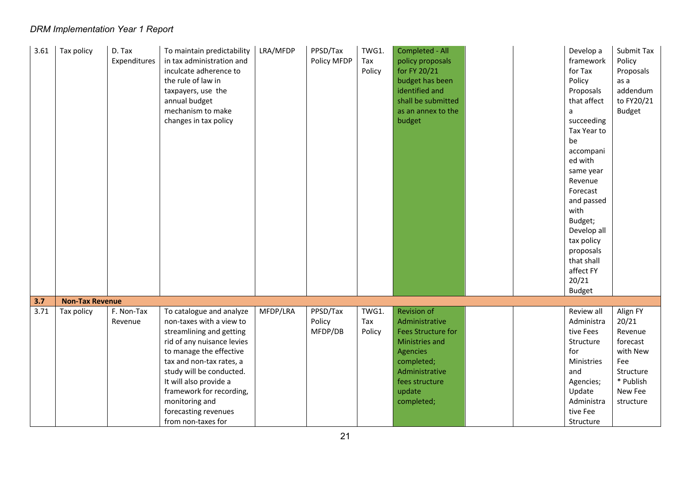| 3.61 | Tax policy             | D. Tax<br>Expenditures | To maintain predictability<br>in tax administration and<br>inculcate adherence to<br>the rule of law in<br>taxpayers, use the<br>annual budget<br>mechanism to make<br>changes in tax policy                                                                                                                            | LRA/MFDP | PPSD/Tax<br>Policy MFDP       | TWG1.<br>Tax<br>Policy | Completed - All<br>policy proposals<br>for FY 20/21<br>budget has been<br>identified and<br>shall be submitted<br>as an annex to the<br>budget                                   |  | Develop a<br>framework<br>for Tax<br>Policy<br>Proposals<br>that affect<br>a<br>succeeding<br>Tax Year to<br>be<br>accompani<br>ed with<br>same year<br>Revenue<br>Forecast<br>and passed<br>with<br>Budget;<br>Develop all<br>tax policy<br>proposals<br>that shall<br>affect FY<br>20/21<br><b>Budget</b> | Submit Tax<br>Policy<br>Proposals<br>as a<br>addendum<br>to FY20/21<br><b>Budget</b>                          |
|------|------------------------|------------------------|-------------------------------------------------------------------------------------------------------------------------------------------------------------------------------------------------------------------------------------------------------------------------------------------------------------------------|----------|-------------------------------|------------------------|----------------------------------------------------------------------------------------------------------------------------------------------------------------------------------|--|-------------------------------------------------------------------------------------------------------------------------------------------------------------------------------------------------------------------------------------------------------------------------------------------------------------|---------------------------------------------------------------------------------------------------------------|
| 3.7  | <b>Non-Tax Revenue</b> |                        |                                                                                                                                                                                                                                                                                                                         |          |                               |                        |                                                                                                                                                                                  |  |                                                                                                                                                                                                                                                                                                             |                                                                                                               |
| 3.71 | Tax policy             | F. Non-Tax<br>Revenue  | To catalogue and analyze<br>non-taxes with a view to<br>streamlining and getting<br>rid of any nuisance levies<br>to manage the effective<br>tax and non-tax rates, a<br>study will be conducted.<br>It will also provide a<br>framework for recording,<br>monitoring and<br>forecasting revenues<br>from non-taxes for | MFDP/LRA | PPSD/Tax<br>Policy<br>MFDP/DB | TWG1.<br>Tax<br>Policy | <b>Revision of</b><br>Administrative<br><b>Fees Structure for</b><br>Ministries and<br><b>Agencies</b><br>completed;<br>Administrative<br>fees structure<br>update<br>completed; |  | Review all<br>Administra<br>tive Fees<br>Structure<br>for<br>Ministries<br>and<br>Agencies;<br>Update<br>Administra<br>tive Fee<br>Structure                                                                                                                                                                | Align FY<br>20/21<br>Revenue<br>forecast<br>with New<br>Fee<br>Structure<br>* Publish<br>New Fee<br>structure |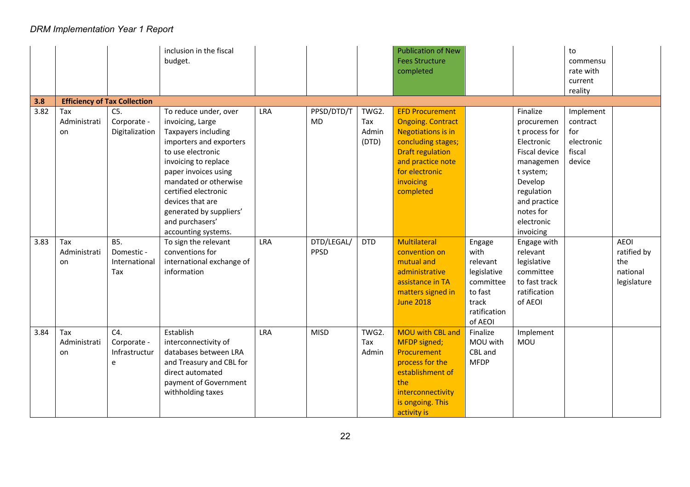|      |                           |                                                  | inclusion in the fiscal<br>budget.                                                                                                                                                                                                                                                                         |            |                    |                                | <b>Publication of New</b><br><b>Fees Structure</b><br>completed                                                                                                                                   |                                                                                                       |                                                                                                                                                                                   | to<br>commensu<br>rate with<br>current<br>reality              |                                                              |
|------|---------------------------|--------------------------------------------------|------------------------------------------------------------------------------------------------------------------------------------------------------------------------------------------------------------------------------------------------------------------------------------------------------------|------------|--------------------|--------------------------------|---------------------------------------------------------------------------------------------------------------------------------------------------------------------------------------------------|-------------------------------------------------------------------------------------------------------|-----------------------------------------------------------------------------------------------------------------------------------------------------------------------------------|----------------------------------------------------------------|--------------------------------------------------------------|
| 3.8  |                           | <b>Efficiency of Tax Collection</b>              |                                                                                                                                                                                                                                                                                                            |            |                    |                                |                                                                                                                                                                                                   |                                                                                                       |                                                                                                                                                                                   |                                                                |                                                              |
| 3.82 | Tax<br>Administrati<br>on | $C5$ .<br>Corporate -<br>Digitalization          | To reduce under, over<br>invoicing, Large<br>Taxpayers including<br>importers and exporters<br>to use electronic<br>invoicing to replace<br>paper invoices using<br>mandated or otherwise<br>certified electronic<br>devices that are<br>generated by suppliers'<br>and purchasers'<br>accounting systems. | <b>LRA</b> | PPSD/DTD/T<br>MD   | TWG2.<br>Tax<br>Admin<br>(DTD) | <b>EFD Procurement</b><br><b>Ongoing. Contract</b><br><b>Negotiations is in</b><br>concluding stages;<br><b>Draft regulation</b><br>and practice note<br>for electronic<br>invoicing<br>completed |                                                                                                       | Finalize<br>procuremen<br>t process for<br>Electronic<br>Fiscal device<br>managemen<br>t system;<br>Develop<br>regulation<br>and practice<br>notes for<br>electronic<br>invoicing | Implement<br>contract<br>for<br>electronic<br>fiscal<br>device |                                                              |
| 3.83 | Tax<br>Administrati<br>on | <b>B5.</b><br>Domestic -<br>International<br>Tax | To sign the relevant<br>conventions for<br>international exchange of<br>information                                                                                                                                                                                                                        | LRA        | DTD/LEGAL/<br>PPSD | <b>DTD</b>                     | Multilateral<br>convention on<br>mutual and<br>administrative<br>assistance in TA<br>matters signed in<br><b>June 2018</b>                                                                        | Engage<br>with<br>relevant<br>legislative<br>committee<br>to fast<br>track<br>ratification<br>of AEOI | Engage with<br>relevant<br>legislative<br>committee<br>to fast track<br>ratification<br>of AEOI                                                                                   |                                                                | <b>AEOI</b><br>ratified by<br>the<br>national<br>legislature |
| 3.84 | Tax<br>Administrati<br>on | C4.<br>Corporate -<br>Infrastructur<br>e         | Establish<br>interconnectivity of<br>databases between LRA<br>and Treasury and CBL for<br>direct automated<br>payment of Government<br>withholding taxes                                                                                                                                                   | LRA        | <b>MISD</b>        | TWG2.<br>Tax<br>Admin          | <b>MOU with CBL and</b><br>MFDP signed;<br>Procurement<br>process for the<br>establishment of<br>the<br>interconnectivity<br>is ongoing. This<br>activity is                                      | Finalize<br>MOU with<br>CBL and<br><b>MFDP</b>                                                        | Implement<br><b>MOU</b>                                                                                                                                                           |                                                                |                                                              |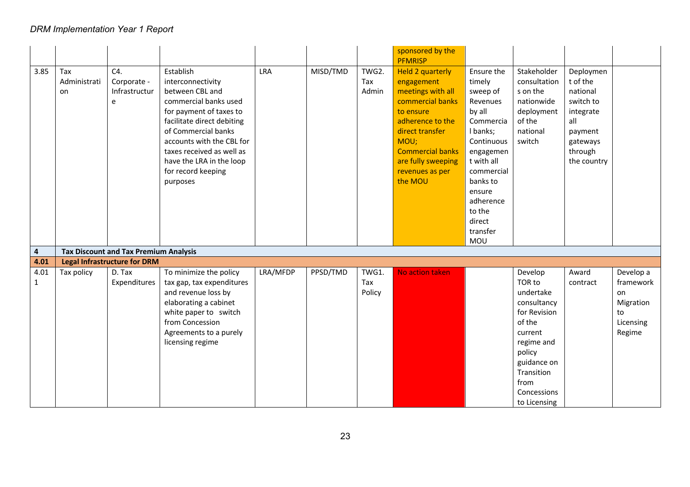|                      |                           |                                              |                                                                                                                                                                                                                                                                                    |            |          |                        | sponsored by the                                                                                                                                                                                                          |                                                                                                                                                                                                                  |                                                                                                                                                                                |                                                                                                                     |                                                                        |
|----------------------|---------------------------|----------------------------------------------|------------------------------------------------------------------------------------------------------------------------------------------------------------------------------------------------------------------------------------------------------------------------------------|------------|----------|------------------------|---------------------------------------------------------------------------------------------------------------------------------------------------------------------------------------------------------------------------|------------------------------------------------------------------------------------------------------------------------------------------------------------------------------------------------------------------|--------------------------------------------------------------------------------------------------------------------------------------------------------------------------------|---------------------------------------------------------------------------------------------------------------------|------------------------------------------------------------------------|
|                      |                           |                                              |                                                                                                                                                                                                                                                                                    |            |          |                        | <b>PFMRISP</b>                                                                                                                                                                                                            |                                                                                                                                                                                                                  |                                                                                                                                                                                |                                                                                                                     |                                                                        |
| 3.85                 | Tax<br>Administrati<br>on | C4.<br>Corporate -<br>Infrastructur<br>e     | Establish<br>interconnectivity<br>between CBL and<br>commercial banks used<br>for payment of taxes to<br>facilitate direct debiting<br>of Commercial banks<br>accounts with the CBL for<br>taxes received as well as<br>have the LRA in the loop<br>for record keeping<br>purposes | <b>LRA</b> | MISD/TMD | TWG2.<br>Tax<br>Admin  | <b>Held 2 quarterly</b><br>engagement<br>meetings with all<br>commercial banks<br>to ensure<br>adherence to the<br>direct transfer<br>MOU;<br><b>Commercial banks</b><br>are fully sweeping<br>revenues as per<br>the MOU | Ensure the<br>timely<br>sweep of<br>Revenues<br>by all<br>Commercia<br>I banks;<br>Continuous<br>engagemen<br>t with all<br>commercial<br>banks to<br>ensure<br>adherence<br>to the<br>direct<br>transfer<br>MOU | Stakeholder<br>consultation<br>s on the<br>nationwide<br>deployment<br>of the<br>national<br>switch                                                                            | Deploymen<br>t of the<br>national<br>switch to<br>integrate<br>all<br>payment<br>gateways<br>through<br>the country |                                                                        |
| 4                    |                           | <b>Tax Discount and Tax Premium Analysis</b> |                                                                                                                                                                                                                                                                                    |            |          |                        |                                                                                                                                                                                                                           |                                                                                                                                                                                                                  |                                                                                                                                                                                |                                                                                                                     |                                                                        |
| 4.01                 |                           | <b>Legal Infrastructure for DRM</b>          |                                                                                                                                                                                                                                                                                    |            |          |                        |                                                                                                                                                                                                                           |                                                                                                                                                                                                                  |                                                                                                                                                                                |                                                                                                                     |                                                                        |
| 4.01<br>$\mathbf{1}$ | Tax policy                | D. Tax<br>Expenditures                       | To minimize the policy<br>tax gap, tax expenditures<br>and revenue loss by<br>elaborating a cabinet<br>white paper to switch<br>from Concession<br>Agreements to a purely<br>licensing regime                                                                                      | LRA/MFDP   | PPSD/TMD | TWG1.<br>Tax<br>Policy | No action taken                                                                                                                                                                                                           |                                                                                                                                                                                                                  | Develop<br>TOR to<br>undertake<br>consultancy<br>for Revision<br>of the<br>current<br>regime and<br>policy<br>guidance on<br>Transition<br>from<br>Concessions<br>to Licensing | Award<br>contract                                                                                                   | Develop a<br>framework<br>on<br>Migration<br>to<br>Licensing<br>Regime |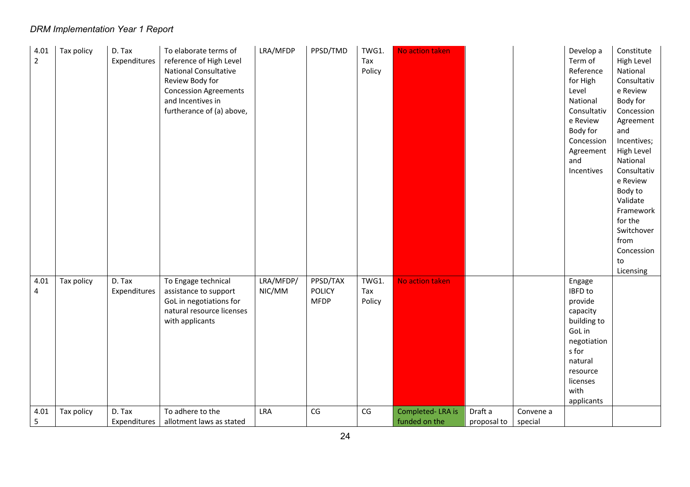| 4.01<br>$\overline{2}$ | Tax policy | D. Tax<br>Expenditures | To elaborate terms of<br>reference of High Level<br>National Consultative<br>Review Body for<br><b>Concession Agreements</b><br>and Incentives in<br>furtherance of (a) above, | LRA/MFDP            | PPSD/TMD                                 | TWG1.<br>Tax<br>Policy | No action taken  |             |           | Develop a<br>Term of<br>Reference<br>for High<br>Level<br>National<br>Consultativ<br>e Review<br>Body for<br>Concession<br>Agreement<br>and<br>Incentives | Constitute<br>High Level<br>National<br>Consultativ<br>e Review<br>Body for<br>Concession<br>Agreement<br>and<br>Incentives;<br>High Level<br>National<br>Consultativ<br>e Review<br>Body to<br>Validate<br>Framework<br>for the<br>Switchover<br>from<br>Concession<br>to<br>Licensing |
|------------------------|------------|------------------------|--------------------------------------------------------------------------------------------------------------------------------------------------------------------------------|---------------------|------------------------------------------|------------------------|------------------|-------------|-----------|-----------------------------------------------------------------------------------------------------------------------------------------------------------|-----------------------------------------------------------------------------------------------------------------------------------------------------------------------------------------------------------------------------------------------------------------------------------------|
| 4.01<br>4              | Tax policy | D. Tax<br>Expenditures | To Engage technical<br>assistance to support<br>GoL in negotiations for<br>natural resource licenses<br>with applicants                                                        | LRA/MFDP/<br>NIC/MM | PPSD/TAX<br><b>POLICY</b><br><b>MFDP</b> | TWG1.<br>Tax<br>Policy | No action taken  |             |           | Engage<br>IBFD to<br>provide<br>capacity<br>building to                                                                                                   |                                                                                                                                                                                                                                                                                         |
|                        |            | D. Tax                 | To adhere to the                                                                                                                                                               | LRA                 | CG                                       | CG                     | Completed-LRA is | Draft a     | Convene a | GoL in<br>negotiation<br>s for<br>natural<br>resource<br>licenses<br>with<br>applicants                                                                   |                                                                                                                                                                                                                                                                                         |
| 4.01<br>5              | Tax policy | Expenditures           | allotment laws as stated                                                                                                                                                       |                     |                                          |                        | funded on the    | proposal to | special   |                                                                                                                                                           |                                                                                                                                                                                                                                                                                         |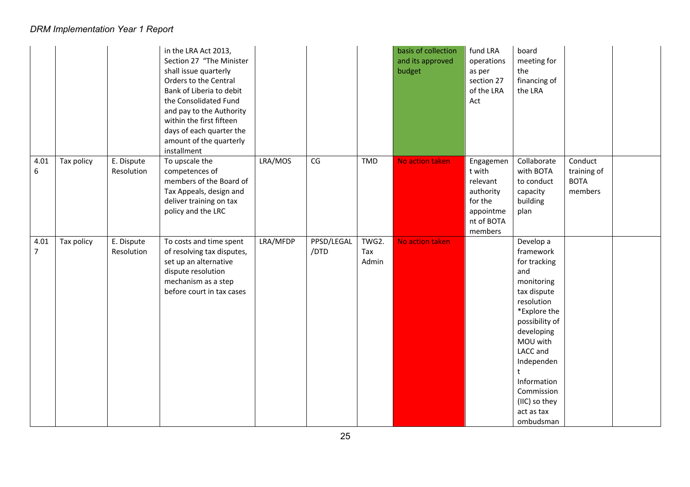|           |            |                          | in the LRA Act 2013,<br>Section 27 "The Minister<br>shall issue quarterly<br>Orders to the Central<br>Bank of Liberia to debit<br>the Consolidated Fund<br>and pay to the Authority<br>within the first fifteen<br>days of each quarter the<br>amount of the quarterly<br>installment |          |                    |                       | basis of collection<br>and its approved<br>budget | fund LRA<br>operations<br>as per<br>section 27<br>of the LRA<br>Act                           | board<br>meeting for<br>the<br>financing of<br>the LRA                                                                                                                                                                                                  |                                                  |  |
|-----------|------------|--------------------------|---------------------------------------------------------------------------------------------------------------------------------------------------------------------------------------------------------------------------------------------------------------------------------------|----------|--------------------|-----------------------|---------------------------------------------------|-----------------------------------------------------------------------------------------------|---------------------------------------------------------------------------------------------------------------------------------------------------------------------------------------------------------------------------------------------------------|--------------------------------------------------|--|
| 4.01<br>6 | Tax policy | E. Dispute<br>Resolution | To upscale the<br>competences of<br>members of the Board of<br>Tax Appeals, design and<br>deliver training on tax<br>policy and the LRC                                                                                                                                               | LRA/MOS  | CG                 | <b>TMD</b>            | No action taken                                   | Engagemen<br>t with<br>relevant<br>authority<br>for the<br>appointme<br>nt of BOTA<br>members | Collaborate<br>with BOTA<br>to conduct<br>capacity<br>building<br>plan                                                                                                                                                                                  | Conduct<br>training of<br><b>BOTA</b><br>members |  |
| 4.01<br>7 | Tax policy | E. Dispute<br>Resolution | To costs and time spent<br>of resolving tax disputes,<br>set up an alternative<br>dispute resolution<br>mechanism as a step<br>before court in tax cases                                                                                                                              | LRA/MFDP | PPSD/LEGAL<br>/DTD | TWG2.<br>Tax<br>Admin | No action taken                                   |                                                                                               | Develop a<br>framework<br>for tracking<br>and<br>monitoring<br>tax dispute<br>resolution<br>*Explore the<br>possibility of<br>developing<br>MOU with<br>LACC and<br>Independen<br>Information<br>Commission<br>(IIC) so they<br>act as tax<br>ombudsman |                                                  |  |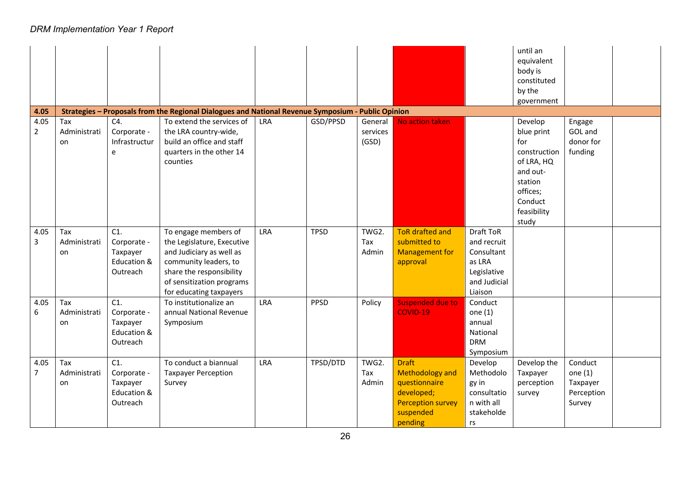|                |              |               |                                                                                                                                 |            |             |              |                          |                      | until an<br>equivalent<br>body is<br>constituted<br>by the<br>government |            |  |
|----------------|--------------|---------------|---------------------------------------------------------------------------------------------------------------------------------|------------|-------------|--------------|--------------------------|----------------------|--------------------------------------------------------------------------|------------|--|
| 4.05<br>4.05   | Tax          | C4.           | Strategies - Proposals from the Regional Dialogues and National Revenue Symposium - Public Opinion<br>To extend the services of | <b>LRA</b> | GSD/PPSD    | General      | No action taken          |                      | Develop                                                                  | Engage     |  |
| $\overline{2}$ | Administrati | Corporate -   | the LRA country-wide,                                                                                                           |            |             | services     |                          |                      | blue print                                                               | GOL and    |  |
|                | on           | Infrastructur | build an office and staff                                                                                                       |            |             | (GSD)        |                          |                      | for                                                                      | donor for  |  |
|                |              | e             | quarters in the other 14                                                                                                        |            |             |              |                          |                      | construction                                                             | funding    |  |
|                |              |               | counties                                                                                                                        |            |             |              |                          |                      | of LRA, HQ                                                               |            |  |
|                |              |               |                                                                                                                                 |            |             |              |                          |                      | and out-                                                                 |            |  |
|                |              |               |                                                                                                                                 |            |             |              |                          |                      | station                                                                  |            |  |
|                |              |               |                                                                                                                                 |            |             |              |                          |                      | offices;                                                                 |            |  |
|                |              |               |                                                                                                                                 |            |             |              |                          |                      | Conduct                                                                  |            |  |
|                |              |               |                                                                                                                                 |            |             |              |                          |                      | feasibility                                                              |            |  |
|                | Tax          | C1.           |                                                                                                                                 | LRA        |             |              | <b>ToR</b> drafted and   | Draft ToR            | study                                                                    |            |  |
| 4.05<br>3      | Administrati | Corporate -   | To engage members of<br>the Legislature, Executive                                                                              |            | <b>TPSD</b> | TWG2.<br>Tax | submitted to             | and recruit          |                                                                          |            |  |
|                | on           | Taxpayer      | and Judiciary as well as                                                                                                        |            |             | Admin        | <b>Management for</b>    | Consultant           |                                                                          |            |  |
|                |              | Education &   | community leaders, to                                                                                                           |            |             |              | approval                 | as LRA               |                                                                          |            |  |
|                |              | Outreach      | share the responsibility                                                                                                        |            |             |              |                          | Legislative          |                                                                          |            |  |
|                |              |               | of sensitization programs                                                                                                       |            |             |              |                          | and Judicial         |                                                                          |            |  |
|                |              |               | for educating taxpayers                                                                                                         |            |             |              |                          | Liaison              |                                                                          |            |  |
| 4.05           | Tax          | C1.           | To institutionalize an                                                                                                          | <b>LRA</b> | <b>PPSD</b> | Policy       | <b>Suspended due to</b>  | Conduct              |                                                                          |            |  |
| 6              | Administrati | Corporate -   | annual National Revenue                                                                                                         |            |             |              | <b>COVID-19</b>          | one $(1)$            |                                                                          |            |  |
|                | on           | Taxpayer      | Symposium                                                                                                                       |            |             |              |                          | annual               |                                                                          |            |  |
|                |              | Education &   |                                                                                                                                 |            |             |              |                          | National             |                                                                          |            |  |
|                |              | Outreach      |                                                                                                                                 |            |             |              |                          | <b>DRM</b>           |                                                                          |            |  |
| 4.05           | Tax          | C1.           | To conduct a biannual                                                                                                           | <b>LRA</b> | TPSD/DTD    | TWG2.        | <b>Draft</b>             | Symposium<br>Develop | Develop the                                                              | Conduct    |  |
| $\overline{7}$ | Administrati | Corporate -   | <b>Taxpayer Perception</b>                                                                                                      |            |             | Tax          | <b>Methodology and</b>   | Methodolo            | Taxpayer                                                                 | one $(1)$  |  |
|                | on           | Taxpayer      | Survey                                                                                                                          |            |             | Admin        | questionnaire            | gy in                | perception                                                               | Taxpayer   |  |
|                |              | Education &   |                                                                                                                                 |            |             |              | developed;               | consultatio          | survey                                                                   | Perception |  |
|                |              | Outreach      |                                                                                                                                 |            |             |              | <b>Perception survey</b> | n with all           |                                                                          | Survey     |  |
|                |              |               |                                                                                                                                 |            |             |              | suspended                | stakeholde           |                                                                          |            |  |
|                |              |               |                                                                                                                                 |            |             |              | pending                  | rs                   |                                                                          |            |  |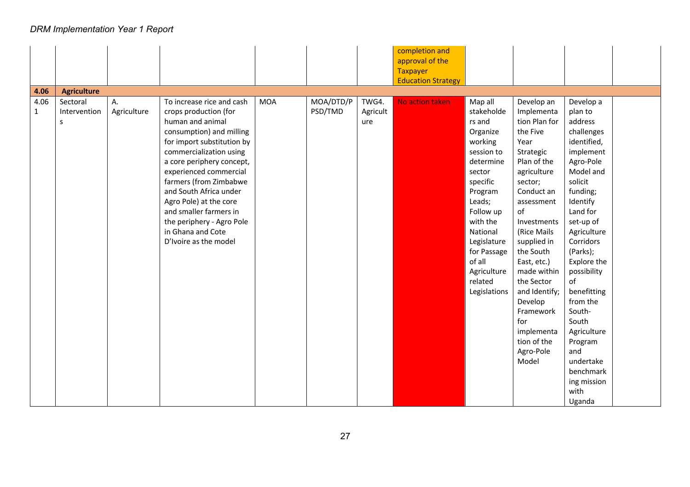|              |                    |             |                            |            |           |          | completion and            |              |               |             |  |
|--------------|--------------------|-------------|----------------------------|------------|-----------|----------|---------------------------|--------------|---------------|-------------|--|
|              |                    |             |                            |            |           |          | approval of the           |              |               |             |  |
|              |                    |             |                            |            |           |          | <b>Taxpayer</b>           |              |               |             |  |
|              |                    |             |                            |            |           |          | <b>Education Strategy</b> |              |               |             |  |
| 4.06         | <b>Agriculture</b> |             |                            |            |           |          |                           |              |               |             |  |
| 4.06         | Sectoral           | A.          | To increase rice and cash  | <b>MOA</b> | MOA/DTD/P | TWG4.    | No action taken           | Map all      | Develop an    | Develop a   |  |
| $\mathbf{1}$ | Intervention       | Agriculture | crops production (for      |            | PSD/TMD   | Agricult |                           | stakeholde   | Implementa    | plan to     |  |
|              | s                  |             | human and animal           |            |           | ure      |                           | rs and       | tion Plan for | address     |  |
|              |                    |             | consumption) and milling   |            |           |          |                           | Organize     | the Five      | challenges  |  |
|              |                    |             | for import substitution by |            |           |          |                           | working      | Year          | identified, |  |
|              |                    |             | commercialization using    |            |           |          |                           | session to   | Strategic     | implement   |  |
|              |                    |             | a core periphery concept,  |            |           |          |                           | determine    | Plan of the   | Agro-Pole   |  |
|              |                    |             | experienced commercial     |            |           |          |                           | sector       | agriculture   | Model and   |  |
|              |                    |             | farmers (from Zimbabwe     |            |           |          |                           | specific     | sector;       | solicit     |  |
|              |                    |             | and South Africa under     |            |           |          |                           | Program      | Conduct an    | funding;    |  |
|              |                    |             | Agro Pole) at the core     |            |           |          |                           | Leads;       | assessment    | Identify    |  |
|              |                    |             | and smaller farmers in     |            |           |          |                           | Follow up    | of            | Land for    |  |
|              |                    |             | the periphery - Agro Pole  |            |           |          |                           | with the     | Investments   | set-up of   |  |
|              |                    |             | in Ghana and Cote          |            |           |          |                           | National     | (Rice Mails   | Agriculture |  |
|              |                    |             | D'Ivoire as the model      |            |           |          |                           | Legislature  | supplied in   | Corridors   |  |
|              |                    |             |                            |            |           |          |                           | for Passage  | the South     | (Parks);    |  |
|              |                    |             |                            |            |           |          |                           | of all       | East, etc.)   | Explore the |  |
|              |                    |             |                            |            |           |          |                           | Agriculture  | made within   | possibility |  |
|              |                    |             |                            |            |           |          |                           | related      | the Sector    | of          |  |
|              |                    |             |                            |            |           |          |                           | Legislations | and Identify; | benefitting |  |
|              |                    |             |                            |            |           |          |                           |              | Develop       | from the    |  |
|              |                    |             |                            |            |           |          |                           |              | Framework     | South-      |  |
|              |                    |             |                            |            |           |          |                           |              | for           | South       |  |
|              |                    |             |                            |            |           |          |                           |              | implementa    | Agriculture |  |
|              |                    |             |                            |            |           |          |                           |              | tion of the   | Program     |  |
|              |                    |             |                            |            |           |          |                           |              | Agro-Pole     | and         |  |
|              |                    |             |                            |            |           |          |                           |              | Model         | undertake   |  |
|              |                    |             |                            |            |           |          |                           |              |               | benchmark   |  |
|              |                    |             |                            |            |           |          |                           |              |               | ing mission |  |
|              |                    |             |                            |            |           |          |                           |              |               | with        |  |
|              |                    |             |                            |            |           |          |                           |              |               | Uganda      |  |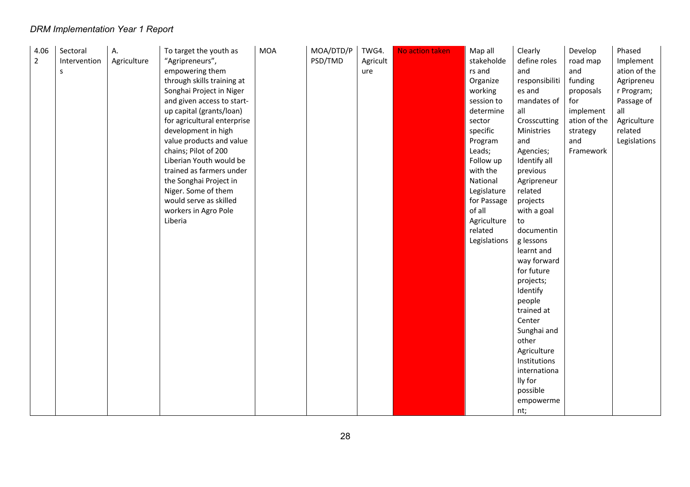| 4.06           | Sectoral     | А.          | To target the youth as      | <b>MOA</b> | MOA/DTD/P | TWG4.    | No action taken | Map all      | Clearly        | Develop      | Phased       |
|----------------|--------------|-------------|-----------------------------|------------|-----------|----------|-----------------|--------------|----------------|--------------|--------------|
| $\overline{2}$ | Intervention | Agriculture | "Agripreneurs",             |            | PSD/TMD   | Agricult |                 | stakeholde   | define roles   | road map     | Implement    |
|                | S            |             | empowering them             |            |           | ure      |                 | rs and       | and            | and          | ation of the |
|                |              |             | through skills training at  |            |           |          |                 | Organize     | responsibiliti | funding      | Agripreneu   |
|                |              |             | Songhai Project in Niger    |            |           |          |                 | working      | es and         | proposals    | r Program;   |
|                |              |             | and given access to start-  |            |           |          |                 | session to   | mandates of    | for          | Passage of   |
|                |              |             | up capital (grants/loan)    |            |           |          |                 | determine    | all            | implement    | all          |
|                |              |             | for agricultural enterprise |            |           |          |                 | sector       | Crosscutting   | ation of the | Agriculture  |
|                |              |             | development in high         |            |           |          |                 | specific     | Ministries     | strategy     | related      |
|                |              |             | value products and value    |            |           |          |                 | Program      | and            | and          | Legislations |
|                |              |             | chains; Pilot of 200        |            |           |          |                 | Leads;       | Agencies;      | Framework    |              |
|                |              |             | Liberian Youth would be     |            |           |          |                 | Follow up    | Identify all   |              |              |
|                |              |             | trained as farmers under    |            |           |          |                 | with the     | previous       |              |              |
|                |              |             | the Songhai Project in      |            |           |          |                 | National     | Agripreneur    |              |              |
|                |              |             | Niger. Some of them         |            |           |          |                 | Legislature  | related        |              |              |
|                |              |             | would serve as skilled      |            |           |          |                 | for Passage  | projects       |              |              |
|                |              |             | workers in Agro Pole        |            |           |          |                 | of all       | with a goal    |              |              |
|                |              |             | Liberia                     |            |           |          |                 | Agriculture  | to             |              |              |
|                |              |             |                             |            |           |          |                 | related      | documentin     |              |              |
|                |              |             |                             |            |           |          |                 | Legislations | g lessons      |              |              |
|                |              |             |                             |            |           |          |                 |              | learnt and     |              |              |
|                |              |             |                             |            |           |          |                 |              | way forward    |              |              |
|                |              |             |                             |            |           |          |                 |              | for future     |              |              |
|                |              |             |                             |            |           |          |                 |              | projects;      |              |              |
|                |              |             |                             |            |           |          |                 |              | Identify       |              |              |
|                |              |             |                             |            |           |          |                 |              | people         |              |              |
|                |              |             |                             |            |           |          |                 |              | trained at     |              |              |
|                |              |             |                             |            |           |          |                 |              | Center         |              |              |
|                |              |             |                             |            |           |          |                 |              | Sunghai and    |              |              |
|                |              |             |                             |            |           |          |                 |              | other          |              |              |
|                |              |             |                             |            |           |          |                 |              | Agriculture    |              |              |
|                |              |             |                             |            |           |          |                 |              | Institutions   |              |              |
|                |              |             |                             |            |           |          |                 |              | internationa   |              |              |
|                |              |             |                             |            |           |          |                 |              | lly for        |              |              |
|                |              |             |                             |            |           |          |                 |              | possible       |              |              |
|                |              |             |                             |            |           |          |                 |              | empowerme      |              |              |
|                |              |             |                             |            |           |          |                 |              | nt;            |              |              |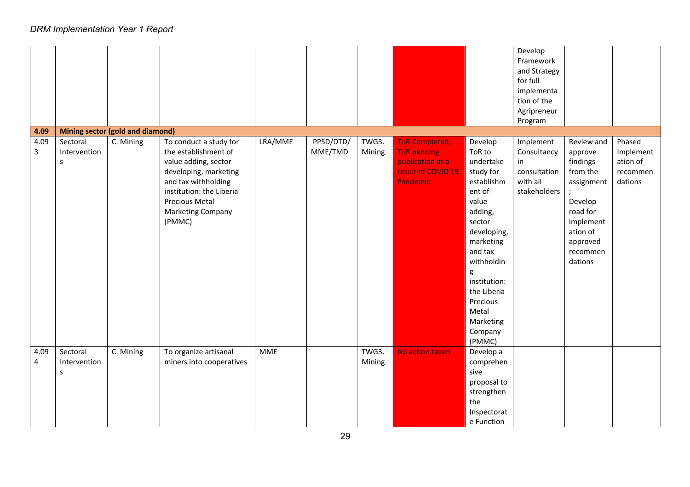|           |                                     |                                         |                                                                                                                                                                                                            |            |                      |                 |                                                                                                          |                                                                                                                                                                                                                                                   | Develop<br>Framework<br>and Strategy<br>for full<br>implementa<br>tion of the<br>Agripreneur<br>Program |                                                                                                                                                |                                                        |
|-----------|-------------------------------------|-----------------------------------------|------------------------------------------------------------------------------------------------------------------------------------------------------------------------------------------------------------|------------|----------------------|-----------------|----------------------------------------------------------------------------------------------------------|---------------------------------------------------------------------------------------------------------------------------------------------------------------------------------------------------------------------------------------------------|---------------------------------------------------------------------------------------------------------|------------------------------------------------------------------------------------------------------------------------------------------------|--------------------------------------------------------|
| 4.09      |                                     | <b>Mining sector (gold and diamond)</b> |                                                                                                                                                                                                            |            |                      |                 |                                                                                                          |                                                                                                                                                                                                                                                   |                                                                                                         |                                                                                                                                                |                                                        |
| 4.09<br>3 | Sectoral<br>Intervention<br>$\sf S$ | C. Mining                               | To conduct a study for<br>the establishment of<br>value adding, sector<br>developing, marketing<br>and tax withholding<br>institution: the Liberia<br><b>Precious Metal</b><br>Marketing Company<br>(PMMC) | LRA/MME    | PPSD/DTD/<br>MME/TMD | TWG3.<br>Mining | <b>ToR Completed;</b><br><b>ToR</b> pending<br>publication as a<br>result of COVID 19<br><b>Pandemic</b> | Develop<br>ToR to<br>undertake<br>study for<br>establishm<br>ent of<br>value<br>adding,<br>sector<br>developing,<br>marketing<br>and tax<br>withholdin<br>g<br>institution:<br>the Liberia<br>Precious<br>Metal<br>Marketing<br>Company<br>(PMMC) | Implement<br>Consultancy<br>in<br>consultation<br>with all<br>stakeholders                              | Review and<br>approve<br>findings<br>from the<br>assignment<br>Develop<br>road for<br>implement<br>ation of<br>approved<br>recommen<br>dations | Phased<br>Implement<br>ation of<br>recommen<br>dations |
| 4.09<br>4 | Sectoral<br>Intervention<br>S       | C. Mining                               | To organize artisanal<br>miners into cooperatives                                                                                                                                                          | <b>MME</b> |                      | TWG3.<br>Mining | No action taken                                                                                          | Develop a<br>comprehen<br>sive<br>proposal to<br>strengthen<br>the<br>Inspectorat<br>e Function                                                                                                                                                   |                                                                                                         |                                                                                                                                                |                                                        |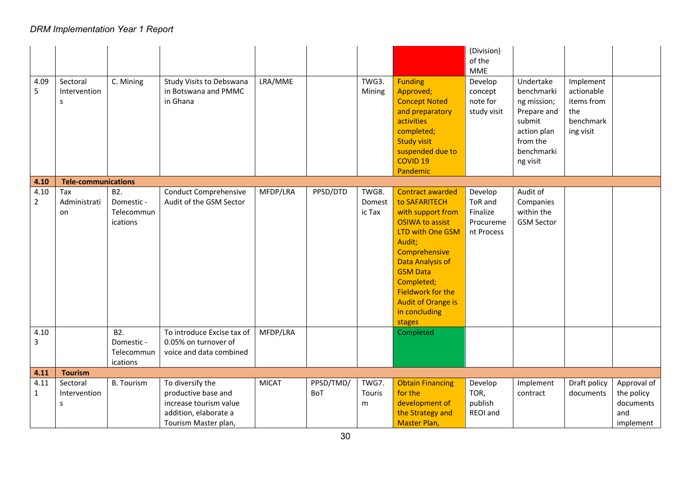| 4.09<br>5              | Sectoral<br>Intervention<br>S. | C. Mining                                   | Study Visits to Debswana<br>in Botswana and PMMC<br>in Ghana                                                       | LRA/MME      |                  | TWG3.<br>Mining           | <b>Funding</b><br>Approved;<br><b>Concept Noted</b><br>and preparatory<br>activities<br>completed;<br><b>Study visit</b><br>suspended due to<br><b>COVID 19</b><br>Pandemic                                                                                                            | (Division)<br>of the<br><b>MME</b><br>Develop<br>concept<br>note for<br>study visit | Undertake<br>benchmarki<br>ng mission;<br>Prepare and<br>submit<br>action plan<br>from the<br>benchmarki<br>ng visit | Implement<br>actionable<br>items from<br>the<br>benchmark<br>ing visit |                                                            |
|------------------------|--------------------------------|---------------------------------------------|--------------------------------------------------------------------------------------------------------------------|--------------|------------------|---------------------------|----------------------------------------------------------------------------------------------------------------------------------------------------------------------------------------------------------------------------------------------------------------------------------------|-------------------------------------------------------------------------------------|----------------------------------------------------------------------------------------------------------------------|------------------------------------------------------------------------|------------------------------------------------------------|
| 4.10                   | <b>Tele-communications</b>     |                                             |                                                                                                                    |              |                  |                           |                                                                                                                                                                                                                                                                                        |                                                                                     |                                                                                                                      |                                                                        |                                                            |
| 4.10<br>$\overline{2}$ | Tax<br>Administrati<br>on      | B2.<br>Domestic -<br>Telecommun<br>ications | <b>Conduct Comprehensive</b><br>Audit of the GSM Sector                                                            | MFDP/LRA     | PPSD/DTD         | TWG8.<br>Domest<br>ic Tax | <b>Contract awarded</b><br>to SAFARITECH<br>with support from<br><b>OSIWA to assist</b><br><b>LTD with One GSM</b><br>Audit;<br>Comprehensive<br><b>Data Analysis of</b><br><b>GSM Data</b><br>Completed;<br>Fieldwork for the<br><b>Audit of Orange is</b><br>in concluding<br>stages | Develop<br>ToR and<br>Finalize<br>Procureme<br>nt Process                           | Audit of<br>Companies<br>within the<br><b>GSM Sector</b>                                                             |                                                                        |                                                            |
| 4.10<br>3              |                                | B2.<br>Domestic -<br>Telecommun<br>ications | To introduce Excise tax of<br>0.05% on turnover of<br>voice and data combined                                      | MFDP/LRA     |                  |                           | Completed                                                                                                                                                                                                                                                                              |                                                                                     |                                                                                                                      |                                                                        |                                                            |
| 4.11                   | <b>Tourism</b>                 |                                             |                                                                                                                    |              |                  |                           |                                                                                                                                                                                                                                                                                        |                                                                                     |                                                                                                                      |                                                                        |                                                            |
| 4.11<br>$\mathbf{1}$   | Sectoral<br>Intervention<br>s  | <b>B.</b> Tourism                           | To diversify the<br>productive base and<br>increase tourism value<br>addition, elaborate a<br>Tourism Master plan, | <b>MICAT</b> | PPSD/TMD/<br>BoT | TWG7.<br>Touris<br>m      | <b>Obtain Financing</b><br>for the<br>development of<br>the Strategy and<br>Master Plan,                                                                                                                                                                                               | Develop<br>TOR,<br>publish<br>REOI and                                              | Implement<br>contract                                                                                                | Draft policy<br>documents                                              | Approval of<br>the policy<br>documents<br>and<br>implement |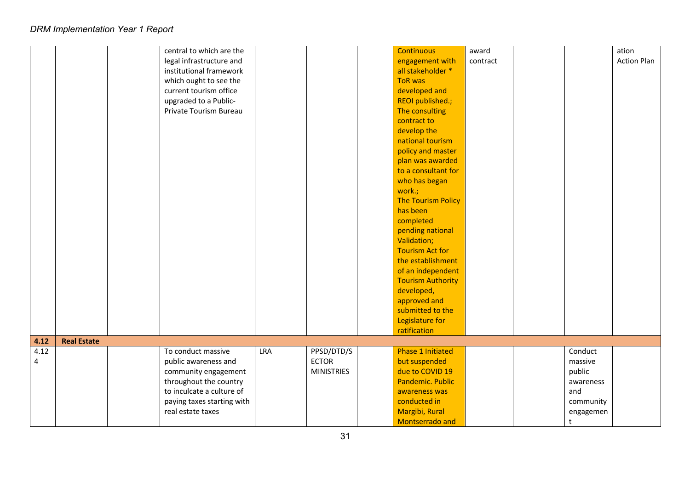|      |                    | central to which are the<br>legal infrastructure and<br>institutional framework<br>which ought to see the<br>current tourism office<br>upgraded to a Public-<br>Private Tourism Bureau |            |                                   | <b>Continuous</b><br>engagement with<br>all stakeholder *<br><b>ToR was</b><br>developed and<br>REOI published.;<br>The consulting<br>contract to<br>develop the<br>national tourism<br>policy and master<br>plan was awarded<br>to a consultant for<br>who has began<br>work.;<br><b>The Tourism Policy</b><br>has been<br>completed<br>pending national<br>Validation;<br><b>Tourism Act for</b><br>the establishment<br>of an independent<br><b>Tourism Authority</b><br>developed,<br>approved and | award<br>contract |                                                                 | ation<br><b>Action Plan</b> |
|------|--------------------|----------------------------------------------------------------------------------------------------------------------------------------------------------------------------------------|------------|-----------------------------------|--------------------------------------------------------------------------------------------------------------------------------------------------------------------------------------------------------------------------------------------------------------------------------------------------------------------------------------------------------------------------------------------------------------------------------------------------------------------------------------------------------|-------------------|-----------------------------------------------------------------|-----------------------------|
|      |                    |                                                                                                                                                                                        |            |                                   | submitted to the<br>Legislature for<br>ratification                                                                                                                                                                                                                                                                                                                                                                                                                                                    |                   |                                                                 |                             |
| 4.12 | <b>Real Estate</b> |                                                                                                                                                                                        |            |                                   |                                                                                                                                                                                                                                                                                                                                                                                                                                                                                                        |                   |                                                                 |                             |
| 4.12 |                    | To conduct massive                                                                                                                                                                     | <b>LRA</b> | PPSD/DTD/S                        | <b>Phase 1 Initiated</b>                                                                                                                                                                                                                                                                                                                                                                                                                                                                               |                   | Conduct                                                         |                             |
| 4    |                    | public awareness and<br>community engagement<br>throughout the country<br>to inculcate a culture of<br>paying taxes starting with<br>real estate taxes                                 |            | <b>ECTOR</b><br><b>MINISTRIES</b> | but suspended<br>due to COVID 19<br>Pandemic. Public<br>awareness was<br>conducted in<br>Margibi, Rural                                                                                                                                                                                                                                                                                                                                                                                                |                   | massive<br>public<br>awareness<br>and<br>community<br>engagemen |                             |
|      |                    |                                                                                                                                                                                        |            |                                   | Montserrado and                                                                                                                                                                                                                                                                                                                                                                                                                                                                                        |                   | t                                                               |                             |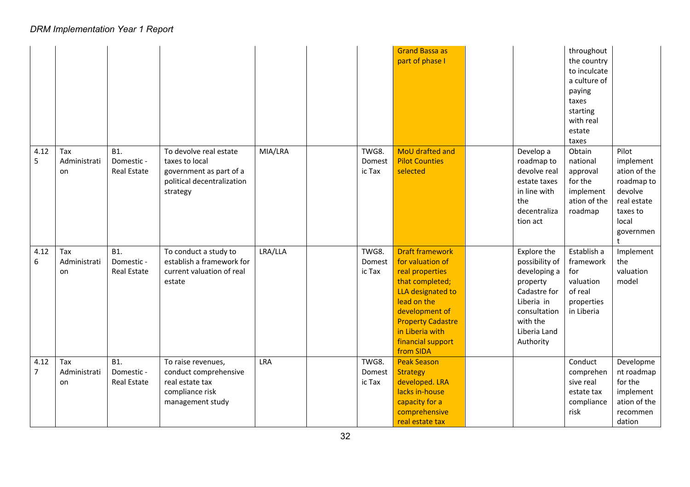|           |                           |                                         |                                                                                                               |            |                           | <b>Grand Bassa as</b><br>part of phase I                                                                                                                                                                                |                                                                                                                                                  | throughout<br>the country<br>to inculcate<br>a culture of<br>paying<br>taxes<br>starting<br>with real<br>estate<br>taxes |                                                                                                                              |
|-----------|---------------------------|-----------------------------------------|---------------------------------------------------------------------------------------------------------------|------------|---------------------------|-------------------------------------------------------------------------------------------------------------------------------------------------------------------------------------------------------------------------|--------------------------------------------------------------------------------------------------------------------------------------------------|--------------------------------------------------------------------------------------------------------------------------|------------------------------------------------------------------------------------------------------------------------------|
| 4.12<br>5 | Tax<br>Administrati<br>on | <b>B1.</b><br>Domestic -<br>Real Estate | To devolve real estate<br>taxes to local<br>government as part of a<br>political decentralization<br>strategy | MIA/LRA    | TWG8.<br>Domest<br>ic Tax | MoU drafted and<br><b>Pilot Counties</b><br>selected                                                                                                                                                                    | Develop a<br>roadmap to<br>devolve real<br>estate taxes<br>in line with<br>the<br>decentraliza<br>tion act                                       | Obtain<br>national<br>approval<br>for the<br>implement<br>ation of the<br>roadmap                                        | Pilot<br>implement<br>ation of the<br>roadmap to<br>devolve<br>real estate<br>taxes to<br>local<br>governmen<br>$^{\dagger}$ |
| 4.12<br>6 | Tax<br>Administrati<br>on | <b>B1.</b><br>Domestic -<br>Real Estate | To conduct a study to<br>establish a framework for<br>current valuation of real<br>estate                     | LRA/LLA    | TWG8.<br>Domest<br>ic Tax | <b>Draft framework</b><br>for valuation of<br>real properties<br>that completed;<br>LLA designated to<br>lead on the<br>development of<br><b>Property Cadastre</b><br>in Liberia with<br>financial support<br>from SIDA | Explore the<br>possibility of<br>developing a<br>property<br>Cadastre for<br>Liberia in<br>consultation<br>with the<br>Liberia Land<br>Authority | Establish a<br>framework<br>for<br>valuation<br>of real<br>properties<br>in Liberia                                      | Implement<br>the<br>valuation<br>model                                                                                       |
| 4.12<br>7 | Tax<br>Administrati<br>on | <b>B1.</b><br>Domestic -<br>Real Estate | To raise revenues,<br>conduct comprehensive<br>real estate tax<br>compliance risk<br>management study         | <b>LRA</b> | TWG8.<br>Domest<br>ic Tax | <b>Peak Season</b><br><b>Strategy</b><br>developed. LRA<br>lacks in-house<br>capacity for a<br>comprehensive<br>real estate tax                                                                                         |                                                                                                                                                  | Conduct<br>comprehen<br>sive real<br>estate tax<br>compliance<br>risk                                                    | Developme<br>nt roadmap<br>for the<br>implement<br>ation of the<br>recommen<br>dation                                        |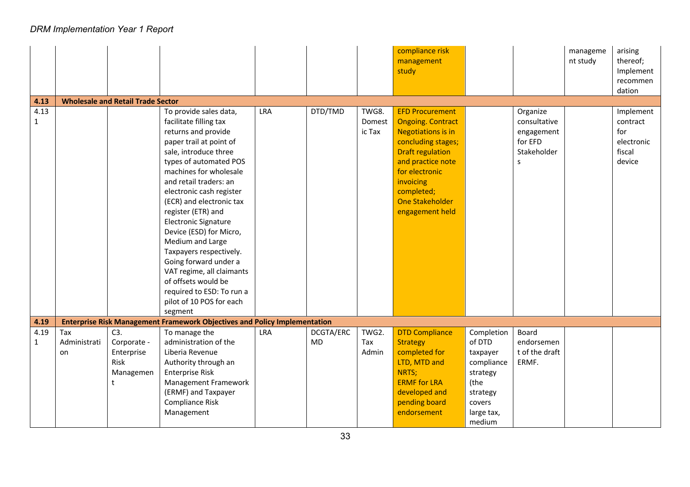|                      |                                          |                                                            |                                                                                                                                                                                                                                                                                                                                                                                                                                                                                                                                        |            |                        |                           | compliance risk<br>management<br>study                                                                                                                                                                                                   |                                                                                                                  |                                                                       | manageme<br>nt study | arising<br>thereof;<br>Implement<br>recommen<br>dation         |  |  |
|----------------------|------------------------------------------|------------------------------------------------------------|----------------------------------------------------------------------------------------------------------------------------------------------------------------------------------------------------------------------------------------------------------------------------------------------------------------------------------------------------------------------------------------------------------------------------------------------------------------------------------------------------------------------------------------|------------|------------------------|---------------------------|------------------------------------------------------------------------------------------------------------------------------------------------------------------------------------------------------------------------------------------|------------------------------------------------------------------------------------------------------------------|-----------------------------------------------------------------------|----------------------|----------------------------------------------------------------|--|--|
| 4.13                 | <b>Wholesale and Retail Trade Sector</b> |                                                            |                                                                                                                                                                                                                                                                                                                                                                                                                                                                                                                                        |            |                        |                           |                                                                                                                                                                                                                                          |                                                                                                                  |                                                                       |                      |                                                                |  |  |
| 4.13<br>$\mathbf{1}$ |                                          |                                                            | To provide sales data,<br>facilitate filling tax<br>returns and provide<br>paper trail at point of<br>sale, introduce three<br>types of automated POS<br>machines for wholesale<br>and retail traders: an<br>electronic cash register<br>(ECR) and electronic tax<br>register (ETR) and<br><b>Electronic Signature</b><br>Device (ESD) for Micro,<br>Medium and Large<br>Taxpayers respectively.<br>Going forward under a<br>VAT regime, all claimants<br>of offsets would be<br>required to ESD: To run a<br>pilot of 10 POS for each | LRA        | DTD/TMD                | TWG8.<br>Domest<br>ic Tax | <b>EFD Procurement</b><br><b>Ongoing. Contract</b><br><b>Negotiations is in</b><br>concluding stages;<br><b>Draft regulation</b><br>and practice note<br>for electronic<br>invoicing<br>completed;<br>One Stakeholder<br>engagement held |                                                                                                                  | Organize<br>consultative<br>engagement<br>for EFD<br>Stakeholder<br>S |                      | Implement<br>contract<br>for<br>electronic<br>fiscal<br>device |  |  |
|                      |                                          |                                                            | segment                                                                                                                                                                                                                                                                                                                                                                                                                                                                                                                                |            |                        |                           |                                                                                                                                                                                                                                          |                                                                                                                  |                                                                       |                      |                                                                |  |  |
| 4.19                 |                                          |                                                            | <b>Enterprise Risk Management Framework Objectives and Policy Implementation</b>                                                                                                                                                                                                                                                                                                                                                                                                                                                       |            |                        |                           |                                                                                                                                                                                                                                          |                                                                                                                  |                                                                       |                      |                                                                |  |  |
| 4.19<br>$\mathbf{1}$ | Tax<br>Administrati<br>on                | C3.<br>Corporate -<br>Enterprise<br>Risk<br>Managemen<br>t | To manage the<br>administration of the<br>Liberia Revenue<br>Authority through an<br><b>Enterprise Risk</b><br>Management Framework<br>(ERMF) and Taxpayer<br>Compliance Risk<br>Management                                                                                                                                                                                                                                                                                                                                            | <b>LRA</b> | DCGTA/ERC<br><b>MD</b> | TWG2.<br>Tax<br>Admin     | <b>DTD Compliance</b><br><b>Strategy</b><br>completed for<br>LTD, MTD and<br>NRTS;<br><b>ERMF</b> for LRA<br>developed and<br>pending board<br>endorsement                                                                               | Completion<br>of DTD<br>taxpayer<br>compliance<br>strategy<br>(the<br>strategy<br>covers<br>large tax,<br>medium | Board<br>endorsemen<br>t of the draft<br>ERMF.                        |                      |                                                                |  |  |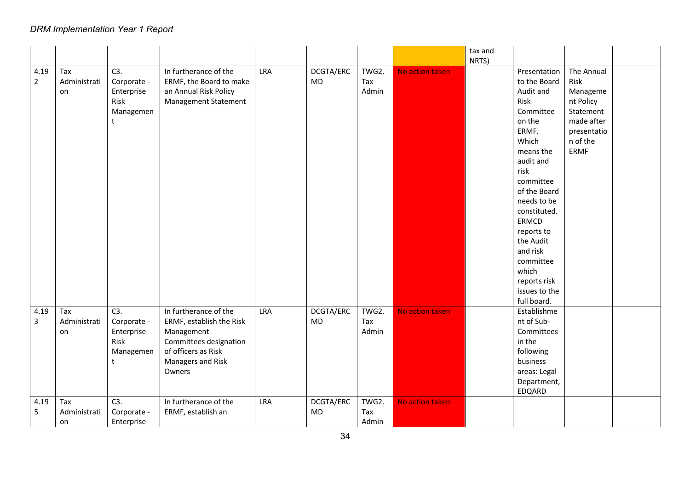|                |              |             |                             |     |           |       |                 | tax and |                    |             |  |
|----------------|--------------|-------------|-----------------------------|-----|-----------|-------|-----------------|---------|--------------------|-------------|--|
| 4.19           | Tax          | C3.         | In furtherance of the       | LRA | DCGTA/ERC | TWG2. | No action taken | NRTS)   | Presentation       | The Annual  |  |
| $\overline{2}$ | Administrati | Corporate - | ERMF, the Board to make     |     | <b>MD</b> | Tax   |                 |         | to the Board       | Risk        |  |
|                | on           | Enterprise  | an Annual Risk Policy       |     |           | Admin |                 |         | Audit and          | Manageme    |  |
|                |              | Risk        | <b>Management Statement</b> |     |           |       |                 |         | Risk               | nt Policy   |  |
|                |              | Managemen   |                             |     |           |       |                 |         | Committee          | Statement   |  |
|                |              | t           |                             |     |           |       |                 |         | on the             | made after  |  |
|                |              |             |                             |     |           |       |                 |         | ERMF.              | presentatio |  |
|                |              |             |                             |     |           |       |                 |         | Which              | n of the    |  |
|                |              |             |                             |     |           |       |                 |         | means the          | ERMF        |  |
|                |              |             |                             |     |           |       |                 |         | audit and          |             |  |
|                |              |             |                             |     |           |       |                 |         | risk               |             |  |
|                |              |             |                             |     |           |       |                 |         | committee          |             |  |
|                |              |             |                             |     |           |       |                 |         | of the Board       |             |  |
|                |              |             |                             |     |           |       |                 |         | needs to be        |             |  |
|                |              |             |                             |     |           |       |                 |         | constituted.       |             |  |
|                |              |             |                             |     |           |       |                 |         | ERMCD              |             |  |
|                |              |             |                             |     |           |       |                 |         | reports to         |             |  |
|                |              |             |                             |     |           |       |                 |         | the Audit          |             |  |
|                |              |             |                             |     |           |       |                 |         | and risk           |             |  |
|                |              |             |                             |     |           |       |                 |         | committee<br>which |             |  |
|                |              |             |                             |     |           |       |                 |         | reports risk       |             |  |
|                |              |             |                             |     |           |       |                 |         | issues to the      |             |  |
|                |              |             |                             |     |           |       |                 |         | full board.        |             |  |
| 4.19           | Tax          | C3.         | In furtherance of the       | LRA | DCGTA/ERC | TWG2. | No action taken |         | Establishme        |             |  |
| 3              | Administrati | Corporate - | ERMF, establish the Risk    |     | <b>MD</b> | Tax   |                 |         | nt of Sub-         |             |  |
|                | on           | Enterprise  | Management                  |     |           | Admin |                 |         | Committees         |             |  |
|                |              | Risk        | Committees designation      |     |           |       |                 |         | in the             |             |  |
|                |              | Managemen   | of officers as Risk         |     |           |       |                 |         | following          |             |  |
|                |              | t           | Managers and Risk           |     |           |       |                 |         | business           |             |  |
|                |              |             | Owners                      |     |           |       |                 |         | areas: Legal       |             |  |
|                |              |             |                             |     |           |       |                 |         | Department,        |             |  |
|                |              |             |                             |     |           |       |                 |         | EDQARD             |             |  |
| 4.19           | Tax          | C3.         | In furtherance of the       | LRA | DCGTA/ERC | TWG2. | No action taken |         |                    |             |  |
| 5              | Administrati | Corporate - | ERMF, establish an          |     | MD        | Tax   |                 |         |                    |             |  |
|                | on           | Enterprise  |                             |     |           | Admin |                 |         |                    |             |  |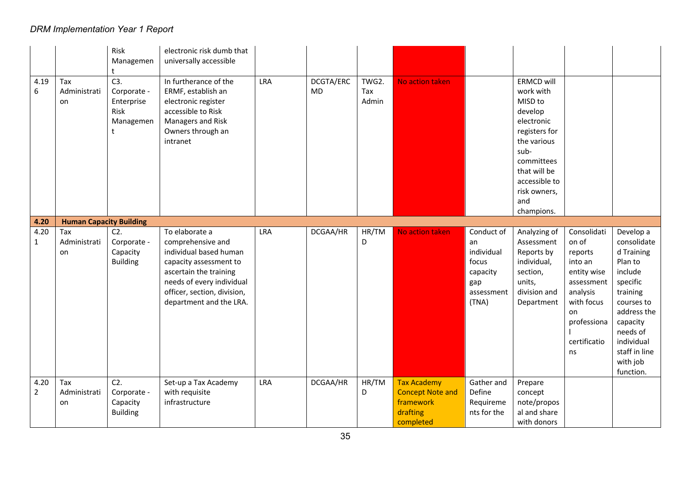|                        |                                | Risk<br>Managemen                                          | electronic risk dumb that<br>universally accessible                                                                                                                                                      |            |                 |                       |                                                                                     |                                                                                   |                                                                                                                                                                                         |                                                                                                                                              |                                                                                                                                                                                                   |
|------------------------|--------------------------------|------------------------------------------------------------|----------------------------------------------------------------------------------------------------------------------------------------------------------------------------------------------------------|------------|-----------------|-----------------------|-------------------------------------------------------------------------------------|-----------------------------------------------------------------------------------|-----------------------------------------------------------------------------------------------------------------------------------------------------------------------------------------|----------------------------------------------------------------------------------------------------------------------------------------------|---------------------------------------------------------------------------------------------------------------------------------------------------------------------------------------------------|
| 4.19<br>6              | Tax<br>Administrati<br>on      | C3.<br>Corporate -<br>Enterprise<br>Risk<br>Managemen<br>t | In furtherance of the<br>ERMF, establish an<br>electronic register<br>accessible to Risk<br>Managers and Risk<br>Owners through an<br>intranet                                                           | LRA        | DCGTA/ERC<br>MD | TWG2.<br>Tax<br>Admin | No action taken                                                                     |                                                                                   | ERMCD will<br>work with<br>MISD to<br>develop<br>electronic<br>registers for<br>the various<br>sub-<br>committees<br>that will be<br>accessible to<br>risk owners,<br>and<br>champions. |                                                                                                                                              |                                                                                                                                                                                                   |
| 4.20                   | <b>Human Capacity Building</b> |                                                            |                                                                                                                                                                                                          |            |                 |                       |                                                                                     |                                                                                   |                                                                                                                                                                                         |                                                                                                                                              |                                                                                                                                                                                                   |
| 4.20<br>$\mathbf{1}$   | Tax<br>Administrati<br>on      | $C2$ .<br>Corporate -<br>Capacity<br><b>Building</b>       | To elaborate a<br>comprehensive and<br>individual based human<br>capacity assessment to<br>ascertain the training<br>needs of every individual<br>officer, section, division,<br>department and the LRA. | LRA        | DCGAA/HR        | HR/TM<br>D            | No action taken                                                                     | Conduct of<br>an<br>individual<br>focus<br>capacity<br>gap<br>assessment<br>(TNA) | Analyzing of<br>Assessment<br>Reports by<br>individual,<br>section,<br>units,<br>division and<br>Department                                                                             | Consolidati<br>on of<br>reports<br>into an<br>entity wise<br>assessment<br>analysis<br>with focus<br>on<br>professiona<br>certificatio<br>ns | Develop a<br>consolidate<br>d Training<br>Plan to<br>include<br>specific<br>training<br>courses to<br>address the<br>capacity<br>needs of<br>individual<br>staff in line<br>with job<br>function. |
| 4.20<br>$\overline{2}$ | Tax<br>Administrati<br>on      | C2.<br>Corporate -<br>Capacity<br><b>Building</b>          | Set-up a Tax Academy<br>with requisite<br>infrastructure                                                                                                                                                 | <b>LRA</b> | DCGAA/HR        | HR/TM<br>D            | <b>Tax Academy</b><br><b>Concept Note and</b><br>framework<br>drafting<br>completed | Gather and<br>Define<br>Requireme<br>nts for the                                  | Prepare<br>concept<br>note/propos<br>al and share<br>with donors                                                                                                                        |                                                                                                                                              |                                                                                                                                                                                                   |